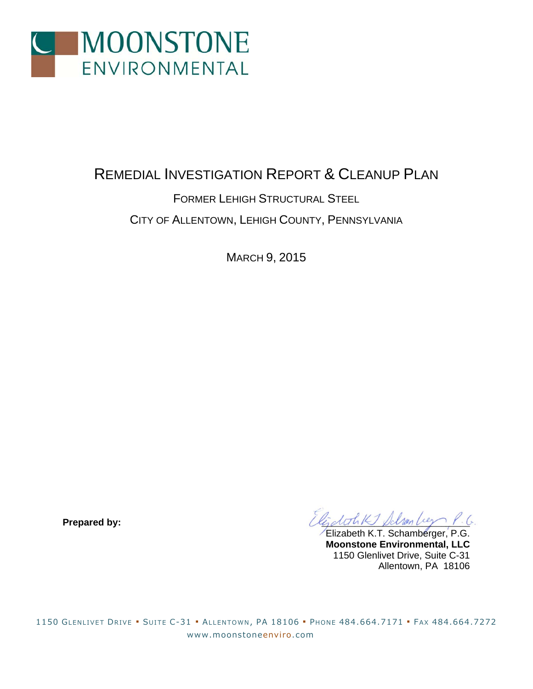

## REMEDIAL INVESTIGATION REPORT & CLEANUP PLAN

## FORMER LEHIGH STRUCTURAL STEEL CITY OF ALLENTOWN, LEHIGH COUNTY, PENNSYLVANIA

MARCH 9, 2015

Prepared by:  $\widehat{\mathcal{U}}$  by:

Elizabeth K.T. Schamberger, P.G. **Moonstone Environmental, LLC**  1150 Glenlivet Drive, Suite C-31 Allentown, PA 18106

1150 GLENLIVET DRIVE ▪ SUITE C-31 ▪ ALLENTOWN, PA 18106 ▪ PHONE 484.664.7171 ▪ FAX 484.664.7272 www.moonstoneenviro.com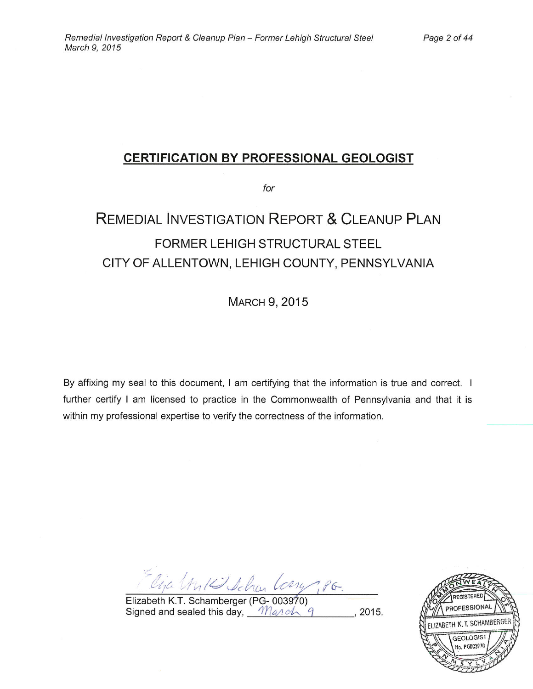### **CERTIFICATION BY PROFESSIONAL GEOLOGIST**

for

# **REMEDIAL INVESTIGATION REPORT & CLEANUP PLAN** FORMER LEHIGH STRUCTURAL STEEL CITY OF ALLENTOWN, LEHIGH COUNTY, PENNSYLVANIA

**MARCH 9, 2015** 

By affixing my seal to this document, I am certifying that the information is true and correct. I further certify I am licensed to practice in the Commonwealth of Pennsylvania and that it is within my professional expertise to verify the correctness of the information.

Cira (An 12 Schar Long 186.

Elizabeth K.T. Schamberger (PG- 003970) Signed and sealed this day, March 9  $, 2015.$ 

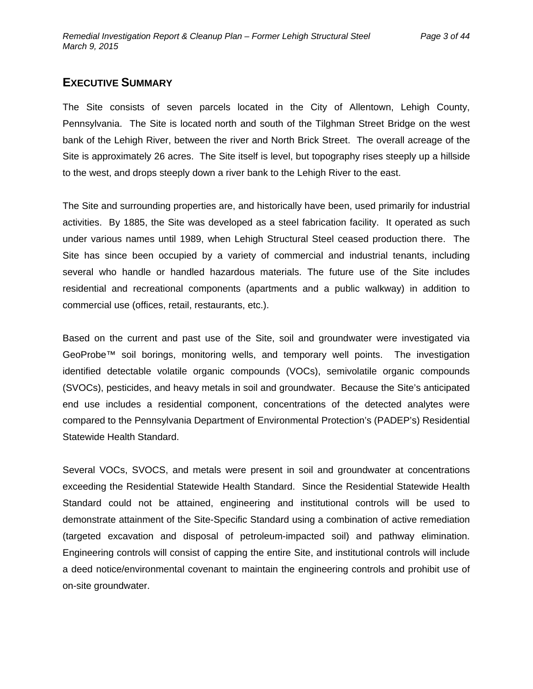### **EXECUTIVE SUMMARY**

The Site consists of seven parcels located in the City of Allentown, Lehigh County, Pennsylvania. The Site is located north and south of the Tilghman Street Bridge on the west bank of the Lehigh River, between the river and North Brick Street. The overall acreage of the Site is approximately 26 acres. The Site itself is level, but topography rises steeply up a hillside to the west, and drops steeply down a river bank to the Lehigh River to the east.

The Site and surrounding properties are, and historically have been, used primarily for industrial activities. By 1885, the Site was developed as a steel fabrication facility. It operated as such under various names until 1989, when Lehigh Structural Steel ceased production there. The Site has since been occupied by a variety of commercial and industrial tenants, including several who handle or handled hazardous materials. The future use of the Site includes residential and recreational components (apartments and a public walkway) in addition to commercial use (offices, retail, restaurants, etc.).

Based on the current and past use of the Site, soil and groundwater were investigated via GeoProbe™ soil borings, monitoring wells, and temporary well points. The investigation identified detectable volatile organic compounds (VOCs), semivolatile organic compounds (SVOCs), pesticides, and heavy metals in soil and groundwater. Because the Site's anticipated end use includes a residential component, concentrations of the detected analytes were compared to the Pennsylvania Department of Environmental Protection's (PADEP's) Residential Statewide Health Standard.

Several VOCs, SVOCS, and metals were present in soil and groundwater at concentrations exceeding the Residential Statewide Health Standard. Since the Residential Statewide Health Standard could not be attained, engineering and institutional controls will be used to demonstrate attainment of the Site-Specific Standard using a combination of active remediation (targeted excavation and disposal of petroleum-impacted soil) and pathway elimination. Engineering controls will consist of capping the entire Site, and institutional controls will include a deed notice/environmental covenant to maintain the engineering controls and prohibit use of on-site groundwater.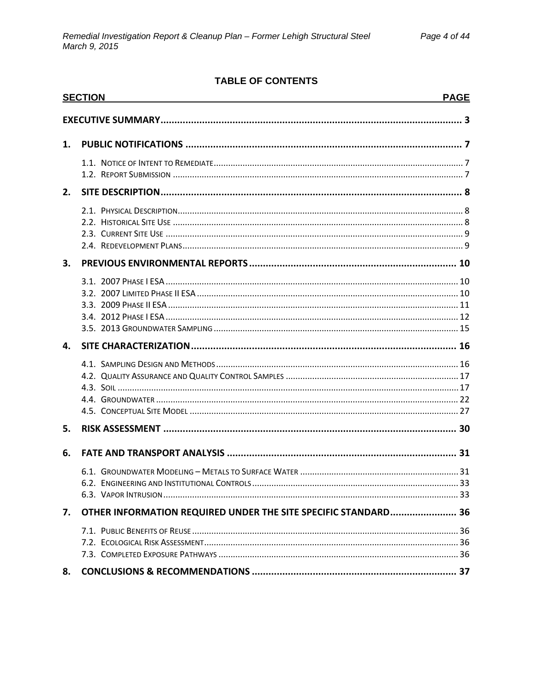### **TABLE OF CONTENTS**

|    | <b>SECTION</b>                                                 | <b>PAGE</b> |
|----|----------------------------------------------------------------|-------------|
|    |                                                                |             |
| 1. |                                                                |             |
|    |                                                                |             |
| 2. |                                                                |             |
|    |                                                                |             |
| 3. |                                                                |             |
|    |                                                                |             |
| 4. |                                                                |             |
|    |                                                                |             |
| 5. |                                                                |             |
| 6. |                                                                |             |
|    |                                                                |             |
| 7. | OTHER INFORMATION REQUIRED UNDER THE SITE SPECIFIC STANDARD 36 |             |
|    |                                                                |             |
| 8. |                                                                |             |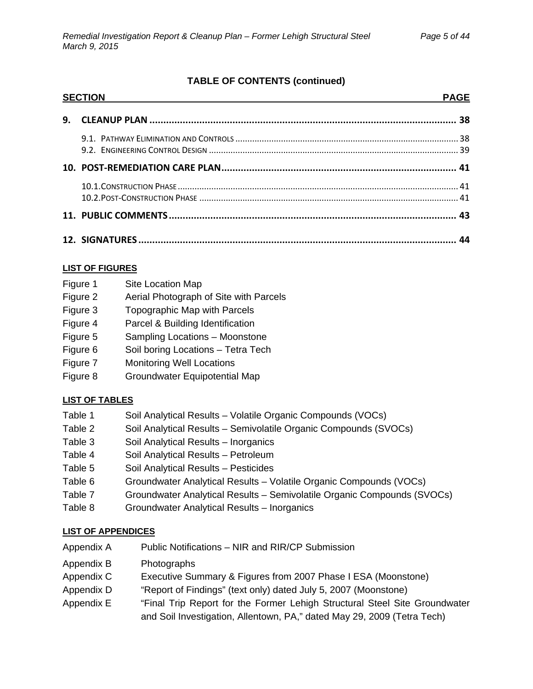### **TABLE OF CONTENTS (continued)**

| <b>SECTION</b> |  |  |
|----------------|--|--|
|                |  |  |
|                |  |  |
|                |  |  |
|                |  |  |
|                |  |  |
|                |  |  |

### **LIST OF FIGURES**

- Figure 2 Aerial Photograph of Site with Parcels
- Figure 3 Topographic Map with Parcels
- Figure 4 Parcel & Building Identification
- Figure 5 Sampling Locations Moonstone
- Figure 6 Soil boring Locations Tetra Tech
- Figure 7 Monitoring Well Locations
- Figure 8 Groundwater Equipotential Map

### **LIST OF TABLES**

- Table 1 Soil Analytical Results Volatile Organic Compounds (VOCs)
- Table 2 Soil Analytical Results Semivolatile Organic Compounds (SVOCs)
- Table 3 Soil Analytical Results Inorganics
- Table 4 Soil Analytical Results Petroleum
- Table 5 Soil Analytical Results Pesticides
- Table 6 Groundwater Analytical Results Volatile Organic Compounds (VOCs)
- Table 7 Groundwater Analytical Results Semivolatile Organic Compounds (SVOCs)
- Table 8 Groundwater Analytical Results Inorganics

### **LIST OF APPENDICES**

- Appendix A Public Notifications NIR and RIR/CP Submission
- Appendix B Photographs
- Appendix C Executive Summary & Figures from 2007 Phase I ESA (Moonstone)
- Appendix D "Report of Findings" (text only) dated July 5, 2007 (Moonstone)
- Appendix E "Final Trip Report for the Former Lehigh Structural Steel Site Groundwater and Soil Investigation, Allentown, PA," dated May 29, 2009 (Tetra Tech)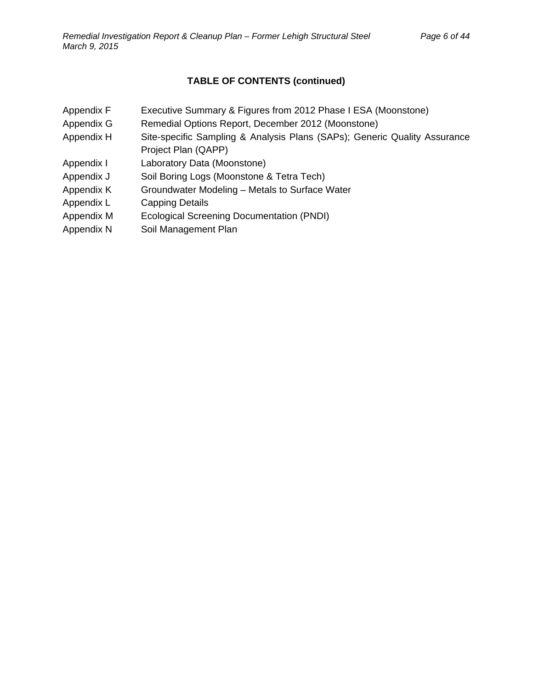### **TABLE OF CONTENTS (continued)**

- Appendix F Executive Summary & Figures from 2012 Phase I ESA (Moonstone)
- Appendix G Remedial Options Report, December 2012 (Moonstone)
- Appendix H Site-specific Sampling & Analysis Plans (SAPs); Generic Quality Assurance Project Plan (QAPP)
- Appendix I Laboratory Data (Moonstone)
- Appendix J Soil Boring Logs (Moonstone & Tetra Tech)
- Appendix K Groundwater Modeling Metals to Surface Water
- Appendix L Capping Details
- Appendix M Ecological Screening Documentation (PNDI)
- Appendix N Soil Management Plan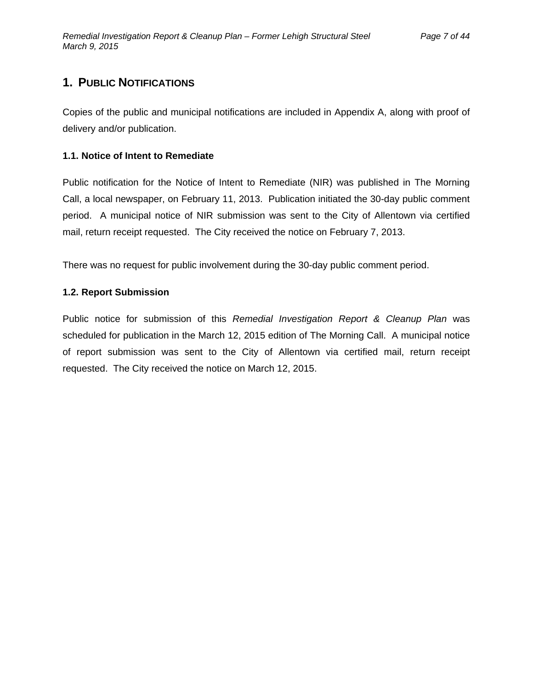## **1. PUBLIC NOTIFICATIONS**

Copies of the public and municipal notifications are included in Appendix A, along with proof of delivery and/or publication.

#### **1.1. Notice of Intent to Remediate**

Public notification for the Notice of Intent to Remediate (NIR) was published in The Morning Call, a local newspaper, on February 11, 2013. Publication initiated the 30-day public comment period. A municipal notice of NIR submission was sent to the City of Allentown via certified mail, return receipt requested. The City received the notice on February 7, 2013.

There was no request for public involvement during the 30-day public comment period.

#### **1.2. Report Submission**

Public notice for submission of this *Remedial Investigation Report & Cleanup Plan* was scheduled for publication in the March 12, 2015 edition of The Morning Call. A municipal notice of report submission was sent to the City of Allentown via certified mail, return receipt requested. The City received the notice on March 12, 2015.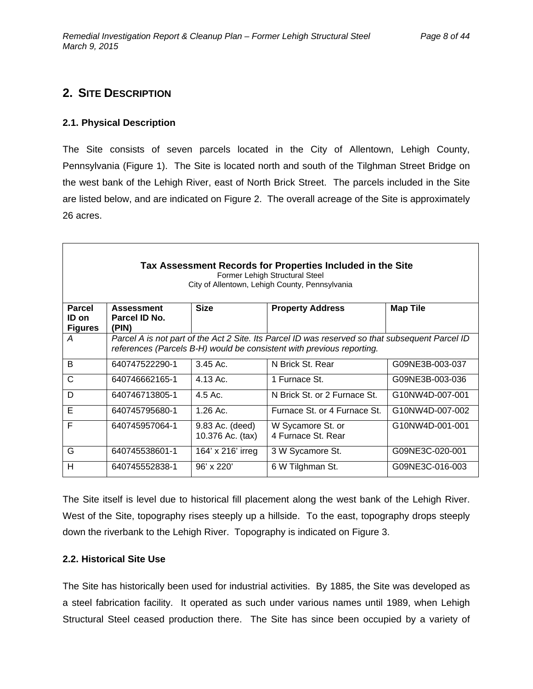### **2. SITE DESCRIPTION**

#### **2.1. Physical Description**

The Site consists of seven parcels located in the City of Allentown, Lehigh County, Pennsylvania (Figure 1). The Site is located north and south of the Tilghman Street Bridge on the west bank of the Lehigh River, east of North Brick Street. The parcels included in the Site are listed below, and are indicated on Figure 2. The overall acreage of the Site is approximately 26 acres.

| Tax Assessment Records for Properties Included in the Site<br>Former Lehigh Structural Steel<br>City of Allentown, Lehigh County, Pennsylvania |                                                                                                                                                                          |                                     |                                         |                 |  |  |
|------------------------------------------------------------------------------------------------------------------------------------------------|--------------------------------------------------------------------------------------------------------------------------------------------------------------------------|-------------------------------------|-----------------------------------------|-----------------|--|--|
| <b>Parcel</b><br>ID on<br><b>Figures</b>                                                                                                       | <b>Assessment</b><br>Parcel ID No.<br>(PIN)                                                                                                                              | <b>Size</b>                         | <b>Property Address</b>                 | <b>Map Tile</b> |  |  |
| A                                                                                                                                              | Parcel A is not part of the Act 2 Site. Its Parcel ID was reserved so that subsequent Parcel ID<br>references (Parcels B-H) would be consistent with previous reporting. |                                     |                                         |                 |  |  |
| B                                                                                                                                              | 640747522290-1                                                                                                                                                           | $3.45$ Ac.                          | N Brick St. Rear                        | G09NE3B-003-037 |  |  |
| C                                                                                                                                              | 640746662165-1                                                                                                                                                           | $4.13 \text{ Ac.}$                  | 1 Furnace St.                           | G09NE3B-003-036 |  |  |
| D                                                                                                                                              | 640746713805-1                                                                                                                                                           | $4.5$ Ac.                           | N Brick St. or 2 Furnace St.            | G10NW4D-007-001 |  |  |
| F                                                                                                                                              | 640745795680-1                                                                                                                                                           | $1.26$ Ac.                          | Furnace St. or 4 Furnace St.            | G10NW4D-007-002 |  |  |
| F                                                                                                                                              | 640745957064-1                                                                                                                                                           | 9.83 Ac. (deed)<br>10.376 Ac. (tax) | W Sycamore St. or<br>4 Furnace St. Rear | G10NW4D-001-001 |  |  |
| G                                                                                                                                              | 640745538601-1                                                                                                                                                           | 164' x 216' irreg                   | 3 W Sycamore St.                        | G09NE3C-020-001 |  |  |
| н                                                                                                                                              | 640745552838-1                                                                                                                                                           | $96' \times 220'$                   | 6 W Tilghman St.                        | G09NE3C-016-003 |  |  |

The Site itself is level due to historical fill placement along the west bank of the Lehigh River. West of the Site, topography rises steeply up a hillside. To the east, topography drops steeply down the riverbank to the Lehigh River. Topography is indicated on Figure 3.

#### **2.2. Historical Site Use**

The Site has historically been used for industrial activities. By 1885, the Site was developed as a steel fabrication facility. It operated as such under various names until 1989, when Lehigh Structural Steel ceased production there. The Site has since been occupied by a variety of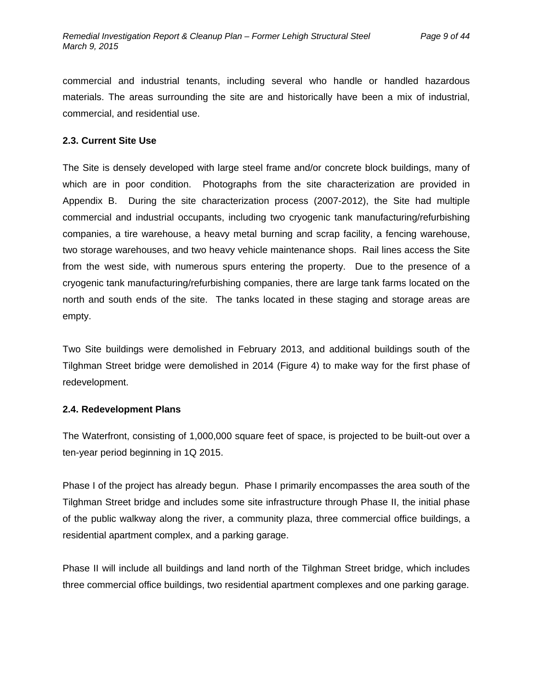commercial and industrial tenants, including several who handle or handled hazardous materials. The areas surrounding the site are and historically have been a mix of industrial, commercial, and residential use.

#### **2.3. Current Site Use**

The Site is densely developed with large steel frame and/or concrete block buildings, many of which are in poor condition. Photographs from the site characterization are provided in Appendix B. During the site characterization process (2007-2012), the Site had multiple commercial and industrial occupants, including two cryogenic tank manufacturing/refurbishing companies, a tire warehouse, a heavy metal burning and scrap facility, a fencing warehouse, two storage warehouses, and two heavy vehicle maintenance shops. Rail lines access the Site from the west side, with numerous spurs entering the property. Due to the presence of a cryogenic tank manufacturing/refurbishing companies, there are large tank farms located on the north and south ends of the site. The tanks located in these staging and storage areas are empty.

Two Site buildings were demolished in February 2013, and additional buildings south of the Tilghman Street bridge were demolished in 2014 (Figure 4) to make way for the first phase of redevelopment.

#### **2.4. Redevelopment Plans**

The Waterfront, consisting of 1,000,000 square feet of space, is projected to be built-out over a ten-year period beginning in 1Q 2015.

Phase I of the project has already begun. Phase I primarily encompasses the area south of the Tilghman Street bridge and includes some site infrastructure through Phase II, the initial phase of the public walkway along the river, a community plaza, three commercial office buildings, a residential apartment complex, and a parking garage.

Phase II will include all buildings and land north of the Tilghman Street bridge, which includes three commercial office buildings, two residential apartment complexes and one parking garage.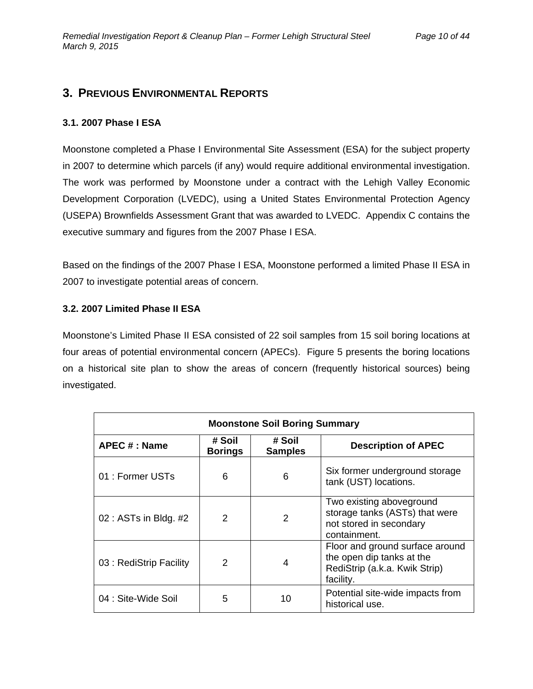### **3. PREVIOUS ENVIRONMENTAL REPORTS**

#### **3.1. 2007 Phase I ESA**

Moonstone completed a Phase I Environmental Site Assessment (ESA) for the subject property in 2007 to determine which parcels (if any) would require additional environmental investigation. The work was performed by Moonstone under a contract with the Lehigh Valley Economic Development Corporation (LVEDC), using a United States Environmental Protection Agency (USEPA) Brownfields Assessment Grant that was awarded to LVEDC. Appendix C contains the executive summary and figures from the 2007 Phase I ESA.

Based on the findings of the 2007 Phase I ESA, Moonstone performed a limited Phase II ESA in 2007 to investigate potential areas of concern.

#### **3.2. 2007 Limited Phase II ESA**

Moonstone's Limited Phase II ESA consisted of 22 soil samples from 15 soil boring locations at four areas of potential environmental concern (APECs). Figure 5 presents the boring locations on a historical site plan to show the areas of concern (frequently historical sources) being investigated.

| <b>Moonstone Soil Boring Summary</b> |                          |                          |                                                                                                            |  |  |
|--------------------------------------|--------------------------|--------------------------|------------------------------------------------------------------------------------------------------------|--|--|
| <b>APEC # : Name</b>                 | # Soil<br><b>Borings</b> | # Soil<br><b>Samples</b> | <b>Description of APEC</b>                                                                                 |  |  |
| 01 : Former USTs                     | 6                        | 6                        | Six former underground storage<br>tank (UST) locations.                                                    |  |  |
| 02 : ASTs in Bldg. #2                | $\mathcal{P}$            | 2                        | Two existing aboveground<br>storage tanks (ASTs) that were<br>not stored in secondary<br>containment.      |  |  |
| 03 : RediStrip Facility              | 2                        | 4                        | Floor and ground surface around<br>the open dip tanks at the<br>RediStrip (a.k.a. Kwik Strip)<br>facility. |  |  |
| 04 : Site-Wide Soil                  | 5                        | 10                       | Potential site-wide impacts from<br>historical use.                                                        |  |  |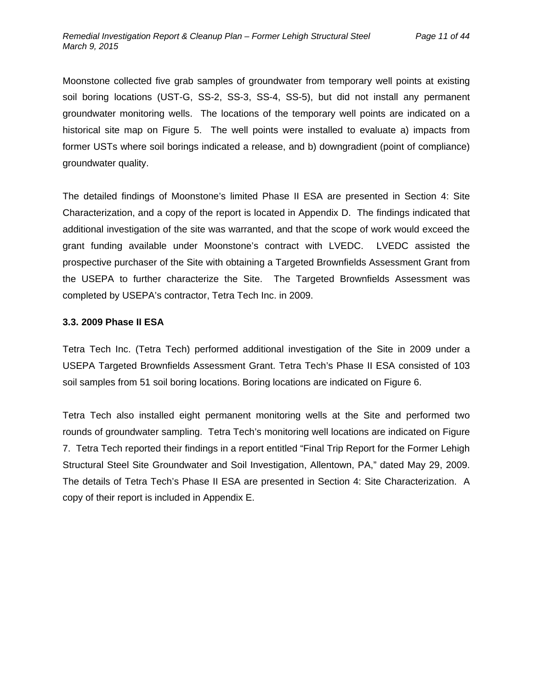Moonstone collected five grab samples of groundwater from temporary well points at existing soil boring locations (UST-G, SS-2, SS-3, SS-4, SS-5), but did not install any permanent groundwater monitoring wells. The locations of the temporary well points are indicated on a historical site map on Figure 5. The well points were installed to evaluate a) impacts from former USTs where soil borings indicated a release, and b) downgradient (point of compliance) groundwater quality.

The detailed findings of Moonstone's limited Phase II ESA are presented in Section 4: Site Characterization, and a copy of the report is located in Appendix D. The findings indicated that additional investigation of the site was warranted, and that the scope of work would exceed the grant funding available under Moonstone's contract with LVEDC. LVEDC assisted the prospective purchaser of the Site with obtaining a Targeted Brownfields Assessment Grant from the USEPA to further characterize the Site. The Targeted Brownfields Assessment was completed by USEPA's contractor, Tetra Tech Inc. in 2009.

#### **3.3. 2009 Phase II ESA**

Tetra Tech Inc. (Tetra Tech) performed additional investigation of the Site in 2009 under a USEPA Targeted Brownfields Assessment Grant. Tetra Tech's Phase II ESA consisted of 103 soil samples from 51 soil boring locations. Boring locations are indicated on Figure 6.

Tetra Tech also installed eight permanent monitoring wells at the Site and performed two rounds of groundwater sampling. Tetra Tech's monitoring well locations are indicated on Figure 7. Tetra Tech reported their findings in a report entitled "Final Trip Report for the Former Lehigh Structural Steel Site Groundwater and Soil Investigation, Allentown, PA," dated May 29, 2009. The details of Tetra Tech's Phase II ESA are presented in Section 4: Site Characterization. A copy of their report is included in Appendix E.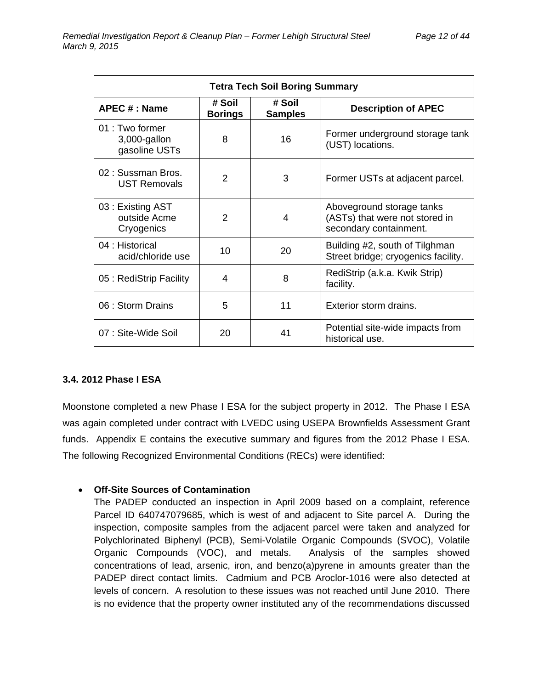| <b>Tetra Tech Soil Boring Summary</b>                                                               |               |    |                                                                                       |  |  |  |
|-----------------------------------------------------------------------------------------------------|---------------|----|---------------------------------------------------------------------------------------|--|--|--|
| # Soil<br># Soil<br>APEC # : Name<br><b>Description of APEC</b><br><b>Borings</b><br><b>Samples</b> |               |    |                                                                                       |  |  |  |
| $01 \cdot$ Two former<br>3,000-gallon<br>gasoline USTs                                              | 8             | 16 | Former underground storage tank<br>(UST) locations.                                   |  |  |  |
| 02 : Sussman Bros.<br><b>UST Removals</b>                                                           | 2             | 3  | Former USTs at adjacent parcel.                                                       |  |  |  |
| 03: Existing AST<br>outside Acme<br>Cryogenics                                                      | $\mathcal{P}$ | 4  | Aboveground storage tanks<br>(ASTs) that were not stored in<br>secondary containment. |  |  |  |
| 04 : Historical<br>acid/chloride use                                                                | 10            | 20 | Building #2, south of Tilghman<br>Street bridge; cryogenics facility.                 |  |  |  |
| 05 : RediStrip Facility                                                                             | 4             | 8  | RediStrip (a.k.a. Kwik Strip)<br>facility.                                            |  |  |  |
| 06 : Storm Drains                                                                                   | 5             | 11 | Exterior storm drains.                                                                |  |  |  |
| 07 : Site-Wide Soil                                                                                 | 20            | 41 | Potential site-wide impacts from<br>historical use.                                   |  |  |  |

#### **3.4. 2012 Phase I ESA**

Moonstone completed a new Phase I ESA for the subject property in 2012. The Phase I ESA was again completed under contract with LVEDC using USEPA Brownfields Assessment Grant funds. Appendix E contains the executive summary and figures from the 2012 Phase I ESA. The following Recognized Environmental Conditions (RECs) were identified:

#### **Off-Site Sources of Contamination**

The PADEP conducted an inspection in April 2009 based on a complaint, reference Parcel ID 640747079685, which is west of and adjacent to Site parcel A. During the inspection, composite samples from the adjacent parcel were taken and analyzed for Polychlorinated Biphenyl (PCB), Semi-Volatile Organic Compounds (SVOC), Volatile Organic Compounds (VOC), and metals. Analysis of the samples showed concentrations of lead, arsenic, iron, and benzo(a)pyrene in amounts greater than the PADEP direct contact limits. Cadmium and PCB Aroclor-1016 were also detected at levels of concern. A resolution to these issues was not reached until June 2010. There is no evidence that the property owner instituted any of the recommendations discussed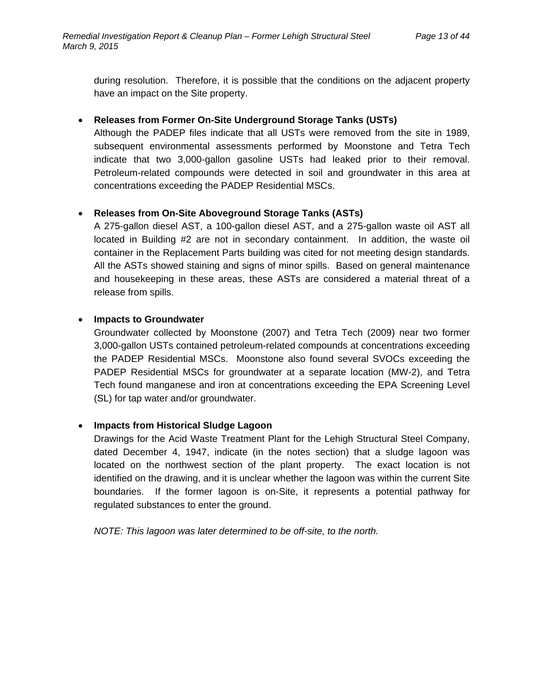during resolution. Therefore, it is possible that the conditions on the adjacent property have an impact on the Site property.

#### **Releases from Former On-Site Underground Storage Tanks (USTs)**

Although the PADEP files indicate that all USTs were removed from the site in 1989, subsequent environmental assessments performed by Moonstone and Tetra Tech indicate that two 3,000-gallon gasoline USTs had leaked prior to their removal. Petroleum-related compounds were detected in soil and groundwater in this area at concentrations exceeding the PADEP Residential MSCs.

### **Releases from On-Site Aboveground Storage Tanks (ASTs)**

A 275-gallon diesel AST, a 100-gallon diesel AST, and a 275-gallon waste oil AST all located in Building #2 are not in secondary containment. In addition, the waste oil container in the Replacement Parts building was cited for not meeting design standards. All the ASTs showed staining and signs of minor spills. Based on general maintenance and housekeeping in these areas, these ASTs are considered a material threat of a release from spills.

#### **Impacts to Groundwater**

Groundwater collected by Moonstone (2007) and Tetra Tech (2009) near two former 3,000-gallon USTs contained petroleum-related compounds at concentrations exceeding the PADEP Residential MSCs. Moonstone also found several SVOCs exceeding the PADEP Residential MSCs for groundwater at a separate location (MW-2), and Tetra Tech found manganese and iron at concentrations exceeding the EPA Screening Level (SL) for tap water and/or groundwater.

#### **Impacts from Historical Sludge Lagoon**

Drawings for the Acid Waste Treatment Plant for the Lehigh Structural Steel Company, dated December 4, 1947, indicate (in the notes section) that a sludge lagoon was located on the northwest section of the plant property. The exact location is not identified on the drawing, and it is unclear whether the lagoon was within the current Site boundaries. If the former lagoon is on-Site, it represents a potential pathway for regulated substances to enter the ground.

*NOTE: This lagoon was later determined to be off-site, to the north.*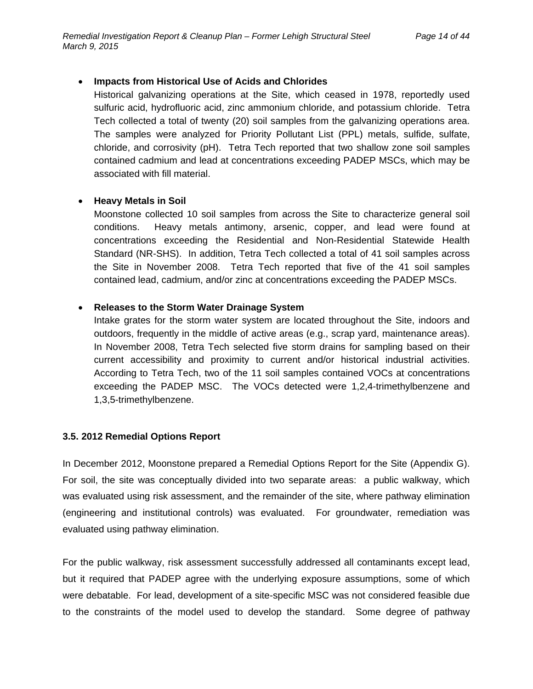#### **Impacts from Historical Use of Acids and Chlorides**

Historical galvanizing operations at the Site, which ceased in 1978, reportedly used sulfuric acid, hydrofluoric acid, zinc ammonium chloride, and potassium chloride. Tetra Tech collected a total of twenty (20) soil samples from the galvanizing operations area. The samples were analyzed for Priority Pollutant List (PPL) metals, sulfide, sulfate, chloride, and corrosivity (pH). Tetra Tech reported that two shallow zone soil samples contained cadmium and lead at concentrations exceeding PADEP MSCs, which may be associated with fill material.

#### **Heavy Metals in Soil**

Moonstone collected 10 soil samples from across the Site to characterize general soil conditions. Heavy metals antimony, arsenic, copper, and lead were found at concentrations exceeding the Residential and Non-Residential Statewide Health Standard (NR-SHS). In addition, Tetra Tech collected a total of 41 soil samples across the Site in November 2008. Tetra Tech reported that five of the 41 soil samples contained lead, cadmium, and/or zinc at concentrations exceeding the PADEP MSCs.

#### **Releases to the Storm Water Drainage System**

Intake grates for the storm water system are located throughout the Site, indoors and outdoors, frequently in the middle of active areas (e.g., scrap yard, maintenance areas). In November 2008, Tetra Tech selected five storm drains for sampling based on their current accessibility and proximity to current and/or historical industrial activities. According to Tetra Tech, two of the 11 soil samples contained VOCs at concentrations exceeding the PADEP MSC. The VOCs detected were 1,2,4-trimethylbenzene and 1,3,5-trimethylbenzene.

#### **3.5. 2012 Remedial Options Report**

In December 2012, Moonstone prepared a Remedial Options Report for the Site (Appendix G). For soil, the site was conceptually divided into two separate areas: a public walkway, which was evaluated using risk assessment, and the remainder of the site, where pathway elimination (engineering and institutional controls) was evaluated. For groundwater, remediation was evaluated using pathway elimination.

For the public walkway, risk assessment successfully addressed all contaminants except lead, but it required that PADEP agree with the underlying exposure assumptions, some of which were debatable. For lead, development of a site-specific MSC was not considered feasible due to the constraints of the model used to develop the standard. Some degree of pathway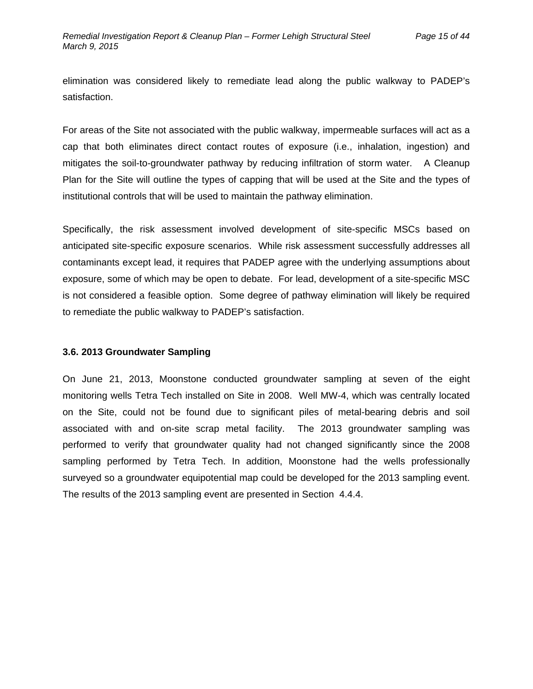elimination was considered likely to remediate lead along the public walkway to PADEP's satisfaction.

For areas of the Site not associated with the public walkway, impermeable surfaces will act as a cap that both eliminates direct contact routes of exposure (i.e., inhalation, ingestion) and mitigates the soil-to-groundwater pathway by reducing infiltration of storm water. A Cleanup Plan for the Site will outline the types of capping that will be used at the Site and the types of institutional controls that will be used to maintain the pathway elimination.

Specifically, the risk assessment involved development of site-specific MSCs based on anticipated site-specific exposure scenarios. While risk assessment successfully addresses all contaminants except lead, it requires that PADEP agree with the underlying assumptions about exposure, some of which may be open to debate. For lead, development of a site-specific MSC is not considered a feasible option. Some degree of pathway elimination will likely be required to remediate the public walkway to PADEP's satisfaction.

#### **3.6. 2013 Groundwater Sampling**

On June 21, 2013, Moonstone conducted groundwater sampling at seven of the eight monitoring wells Tetra Tech installed on Site in 2008. Well MW-4, which was centrally located on the Site, could not be found due to significant piles of metal-bearing debris and soil associated with and on-site scrap metal facility. The 2013 groundwater sampling was performed to verify that groundwater quality had not changed significantly since the 2008 sampling performed by Tetra Tech. In addition, Moonstone had the wells professionally surveyed so a groundwater equipotential map could be developed for the 2013 sampling event. The results of the 2013 sampling event are presented in Section 4.4.4.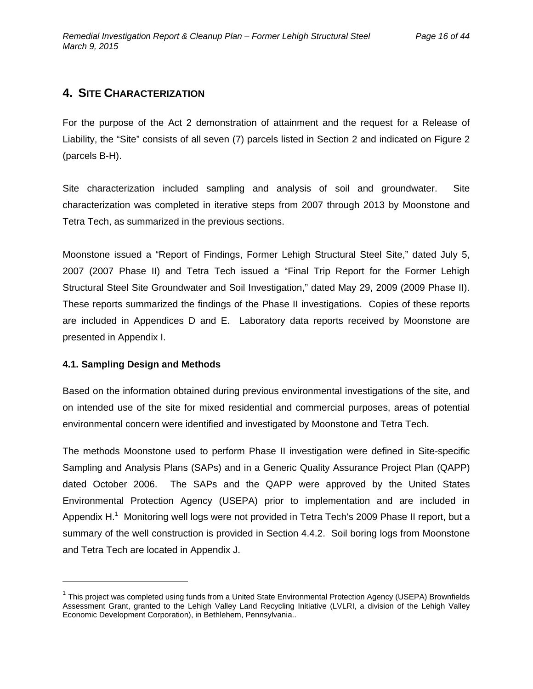### **4. SITE CHARACTERIZATION**

For the purpose of the Act 2 demonstration of attainment and the request for a Release of Liability, the "Site" consists of all seven (7) parcels listed in Section 2 and indicated on Figure 2 (parcels B-H).

Site characterization included sampling and analysis of soil and groundwater. Site characterization was completed in iterative steps from 2007 through 2013 by Moonstone and Tetra Tech, as summarized in the previous sections.

Moonstone issued a "Report of Findings, Former Lehigh Structural Steel Site," dated July 5, 2007 (2007 Phase II) and Tetra Tech issued a "Final Trip Report for the Former Lehigh Structural Steel Site Groundwater and Soil Investigation," dated May 29, 2009 (2009 Phase II). These reports summarized the findings of the Phase II investigations. Copies of these reports are included in Appendices D and E. Laboratory data reports received by Moonstone are presented in Appendix I.

#### **4.1. Sampling Design and Methods**

Based on the information obtained during previous environmental investigations of the site, and on intended use of the site for mixed residential and commercial purposes, areas of potential environmental concern were identified and investigated by Moonstone and Tetra Tech.

The methods Moonstone used to perform Phase II investigation were defined in Site-specific Sampling and Analysis Plans (SAPs) and in a Generic Quality Assurance Project Plan (QAPP) dated October 2006. The SAPs and the QAPP were approved by the United States Environmental Protection Agency (USEPA) prior to implementation and are included in Appendix H.<sup>1</sup> Monitoring well logs were not provided in Tetra Tech's 2009 Phase II report, but a summary of the well construction is provided in Section 4.4.2. Soil boring logs from Moonstone and Tetra Tech are located in Appendix J.

 $1$  This project was completed using funds from a United State Environmental Protection Agency (USEPA) Brownfields Assessment Grant, granted to the Lehigh Valley Land Recycling Initiative (LVLRI, a division of the Lehigh Valley Economic Development Corporation), in Bethlehem, Pennsylvania..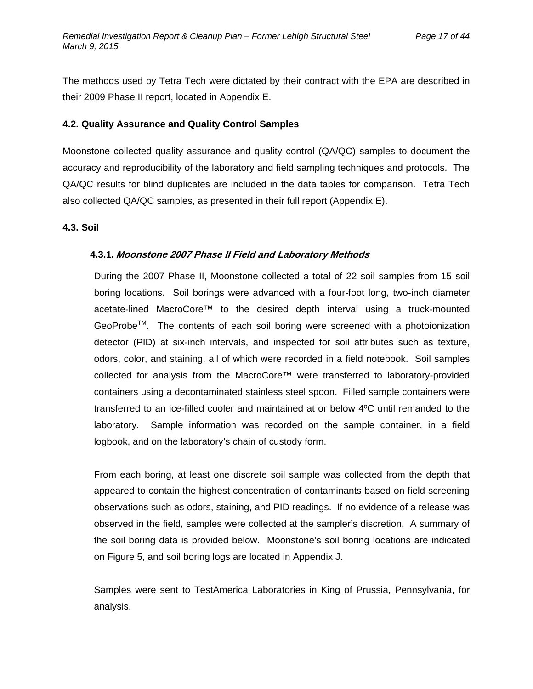The methods used by Tetra Tech were dictated by their contract with the EPA are described in their 2009 Phase II report, located in Appendix E.

#### **4.2. Quality Assurance and Quality Control Samples**

Moonstone collected quality assurance and quality control (QA/QC) samples to document the accuracy and reproducibility of the laboratory and field sampling techniques and protocols. The QA/QC results for blind duplicates are included in the data tables for comparison. Tetra Tech also collected QA/QC samples, as presented in their full report (Appendix E).

#### **4.3. Soil**

#### **4.3.1. Moonstone 2007 Phase II Field and Laboratory Methods**

During the 2007 Phase II, Moonstone collected a total of 22 soil samples from 15 soil boring locations. Soil borings were advanced with a four-foot long, two-inch diameter acetate-lined MacroCore™ to the desired depth interval using a truck-mounted GeoProbe<sup>™</sup>. The contents of each soil boring were screened with a photoionization detector (PID) at six-inch intervals, and inspected for soil attributes such as texture, odors, color, and staining, all of which were recorded in a field notebook. Soil samples collected for analysis from the MacroCore™ were transferred to laboratory-provided containers using a decontaminated stainless steel spoon. Filled sample containers were transferred to an ice-filled cooler and maintained at or below 4ºC until remanded to the laboratory. Sample information was recorded on the sample container, in a field logbook, and on the laboratory's chain of custody form.

From each boring, at least one discrete soil sample was collected from the depth that appeared to contain the highest concentration of contaminants based on field screening observations such as odors, staining, and PID readings. If no evidence of a release was observed in the field, samples were collected at the sampler's discretion. A summary of the soil boring data is provided below. Moonstone's soil boring locations are indicated on Figure 5, and soil boring logs are located in Appendix J.

Samples were sent to TestAmerica Laboratories in King of Prussia, Pennsylvania, for analysis.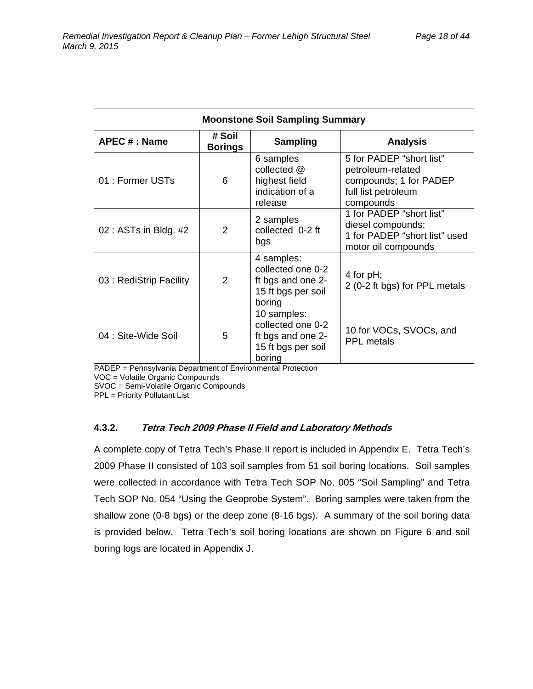| <b>Moonstone Soil Sampling Summary</b> |                          |                                                                                       |                                                                                                             |  |  |
|----------------------------------------|--------------------------|---------------------------------------------------------------------------------------|-------------------------------------------------------------------------------------------------------------|--|--|
| APEC # : Name                          | # Soil<br><b>Borings</b> | <b>Sampling</b>                                                                       | <b>Analysis</b>                                                                                             |  |  |
| 01 : Former USTs                       | 6                        | 6 samples<br>collected @<br>highest field<br>indication of a<br>release               | 5 for PADEP "short list"<br>petroleum-related<br>compounds; 1 for PADEP<br>full list petroleum<br>compounds |  |  |
| 02 : ASTs in Bldg. #2                  | $\mathcal{P}$            | 2 samples<br>collected 0-2 ft<br>bgs                                                  | 1 for PADEP "short list"<br>diesel compounds;<br>1 for PADEP "short list" used<br>motor oil compounds       |  |  |
| 03 : RediStrip Facility                | 2                        | 4 samples:<br>collected one 0-2<br>ft bgs and one 2-<br>15 ft bgs per soil<br>boring  | 4 for $pH$ ;<br>2 (0-2 ft bgs) for PPL metals                                                               |  |  |
| 04 : Site-Wide Soil                    | 5                        | 10 samples:<br>collected one 0-2<br>ft bgs and one 2-<br>15 ft bgs per soil<br>boring | 10 for VOCs, SVOCs, and<br>PPL metals                                                                       |  |  |

PADEP = Pennsylvania Department of Environmental Protection

VOC = Volatile Organic Compounds

SVOC = Semi-Volatile Organic Compounds

PPL = Priority Pollutant List

#### **4.3.2. Tetra Tech 2009 Phase II Field and Laboratory Methods**

A complete copy of Tetra Tech's Phase II report is included in Appendix E. Tetra Tech's 2009 Phase II consisted of 103 soil samples from 51 soil boring locations. Soil samples were collected in accordance with Tetra Tech SOP No. 005 "Soil Sampling" and Tetra Tech SOP No. 054 "Using the Geoprobe System". Boring samples were taken from the shallow zone (0-8 bgs) or the deep zone (8-16 bgs). A summary of the soil boring data is provided below. Tetra Tech's soil boring locations are shown on Figure 6 and soil boring logs are located in Appendix J.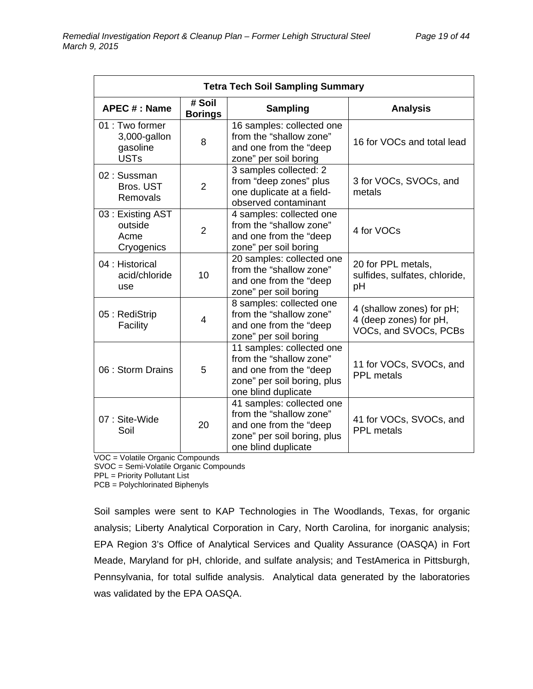| <b>Tetra Tech Soil Sampling Summary</b>                    |                |                                                                                                                                      |                                                                              |  |  |
|------------------------------------------------------------|----------------|--------------------------------------------------------------------------------------------------------------------------------------|------------------------------------------------------------------------------|--|--|
| # Soil<br>APEC # : Name<br><b>Borings</b>                  |                | <b>Sampling</b>                                                                                                                      | <b>Analysis</b>                                                              |  |  |
| 01 : Two former<br>3,000-gallon<br>gasoline<br><b>USTs</b> | 8              | 16 samples: collected one<br>from the "shallow zone"<br>and one from the "deep<br>zone" per soil boring                              | 16 for VOCs and total lead                                                   |  |  |
| 02: Sussman<br>Bros. UST<br>Removals                       | $\overline{2}$ | 3 samples collected: 2<br>from "deep zones" plus<br>one duplicate at a field-<br>observed contaminant                                | 3 for VOCs, SVOCs, and<br>metals                                             |  |  |
| 03: Existing AST<br>outside<br>Acme<br>Cryogenics          | $\overline{2}$ | 4 samples: collected one<br>from the "shallow zone"<br>and one from the "deep<br>zone" per soil boring                               | 4 for VOCs                                                                   |  |  |
| 04 : Historical<br>acid/chloride<br>use                    | 10             | 20 samples: collected one<br>from the "shallow zone"<br>and one from the "deep<br>zone" per soil boring                              | 20 for PPL metals,<br>sulfides, sulfates, chloride,<br>рH                    |  |  |
| 05: RediStrip<br>Facility                                  | 4              | 8 samples: collected one<br>from the "shallow zone"<br>and one from the "deep<br>zone" per soil boring                               | 4 (shallow zones) for pH;<br>4 (deep zones) for pH,<br>VOCs, and SVOCs, PCBs |  |  |
| 06 : Storm Drains                                          | 5              | 11 samples: collected one<br>from the "shallow zone"<br>and one from the "deep<br>zone" per soil boring, plus<br>one blind duplicate | 11 for VOCs, SVOCs, and<br><b>PPL</b> metals                                 |  |  |
| 07: Site-Wide<br>Soil                                      | 20             | 41 samples: collected one<br>from the "shallow zone"<br>and one from the "deep<br>zone" per soil boring, plus<br>one blind duplicate | 41 for VOCs, SVOCs, and<br><b>PPL</b> metals                                 |  |  |

VOC = Volatile Organic Compounds

SVOC = Semi-Volatile Organic Compounds

PPL = Priority Pollutant List

PCB = Polychlorinated Biphenyls

Soil samples were sent to KAP Technologies in The Woodlands, Texas, for organic analysis; Liberty Analytical Corporation in Cary, North Carolina, for inorganic analysis; EPA Region 3's Office of Analytical Services and Quality Assurance (OASQA) in Fort Meade, Maryland for pH, chloride, and sulfate analysis; and TestAmerica in Pittsburgh, Pennsylvania, for total sulfide analysis. Analytical data generated by the laboratories was validated by the EPA OASQA.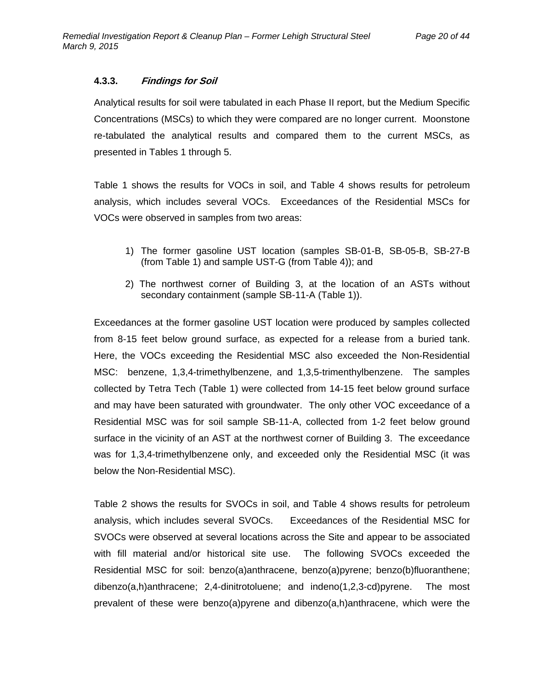#### **4.3.3. Findings for Soil**

Analytical results for soil were tabulated in each Phase II report, but the Medium Specific Concentrations (MSCs) to which they were compared are no longer current. Moonstone re-tabulated the analytical results and compared them to the current MSCs, as presented in Tables 1 through 5.

Table 1 shows the results for VOCs in soil, and Table 4 shows results for petroleum analysis, which includes several VOCs. Exceedances of the Residential MSCs for VOCs were observed in samples from two areas:

- 1) The former gasoline UST location (samples SB-01-B, SB-05-B, SB-27-B (from Table 1) and sample UST-G (from Table 4)); and
- 2) The northwest corner of Building 3, at the location of an ASTs without secondary containment (sample SB-11-A (Table 1)).

Exceedances at the former gasoline UST location were produced by samples collected from 8-15 feet below ground surface, as expected for a release from a buried tank. Here, the VOCs exceeding the Residential MSC also exceeded the Non-Residential MSC: benzene, 1,3,4-trimethylbenzene, and 1,3,5-trimenthylbenzene. The samples collected by Tetra Tech (Table 1) were collected from 14-15 feet below ground surface and may have been saturated with groundwater. The only other VOC exceedance of a Residential MSC was for soil sample SB-11-A, collected from 1-2 feet below ground surface in the vicinity of an AST at the northwest corner of Building 3. The exceedance was for 1,3,4-trimethylbenzene only, and exceeded only the Residential MSC (it was below the Non-Residential MSC).

Table 2 shows the results for SVOCs in soil, and Table 4 shows results for petroleum analysis, which includes several SVOCs. Exceedances of the Residential MSC for SVOCs were observed at several locations across the Site and appear to be associated with fill material and/or historical site use. The following SVOCs exceeded the Residential MSC for soil: benzo(a)anthracene, benzo(a)pyrene; benzo(b)fluoranthene; dibenzo(a,h)anthracene; 2,4-dinitrotoluene; and indeno(1,2,3-cd)pyrene. The most prevalent of these were benzo(a)pyrene and dibenzo(a,h)anthracene, which were the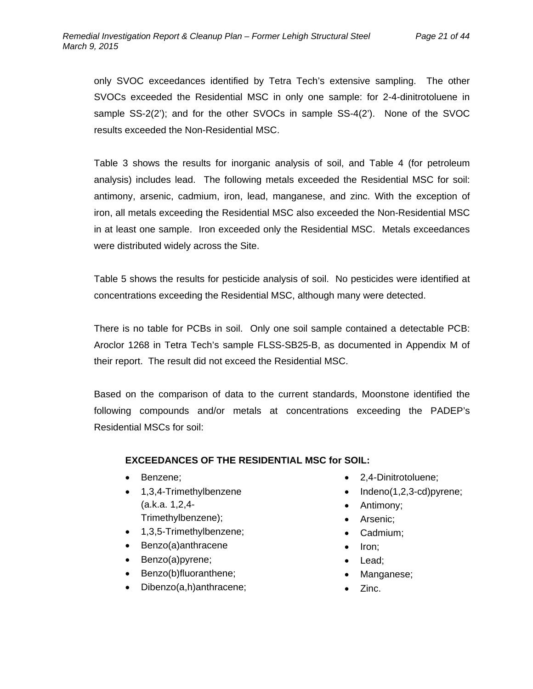only SVOC exceedances identified by Tetra Tech's extensive sampling. The other SVOCs exceeded the Residential MSC in only one sample: for 2-4-dinitrotoluene in sample SS-2(2'); and for the other SVOCs in sample SS-4(2'). None of the SVOC results exceeded the Non-Residential MSC.

Table 3 shows the results for inorganic analysis of soil, and Table 4 (for petroleum analysis) includes lead. The following metals exceeded the Residential MSC for soil: antimony, arsenic, cadmium, iron, lead, manganese, and zinc. With the exception of iron, all metals exceeding the Residential MSC also exceeded the Non-Residential MSC in at least one sample. Iron exceeded only the Residential MSC. Metals exceedances were distributed widely across the Site.

Table 5 shows the results for pesticide analysis of soil. No pesticides were identified at concentrations exceeding the Residential MSC, although many were detected.

There is no table for PCBs in soil. Only one soil sample contained a detectable PCB: Aroclor 1268 in Tetra Tech's sample FLSS-SB25-B, as documented in Appendix M of their report. The result did not exceed the Residential MSC.

Based on the comparison of data to the current standards, Moonstone identified the following compounds and/or metals at concentrations exceeding the PADEP's Residential MSCs for soil:

#### **EXCEEDANCES OF THE RESIDENTIAL MSC for SOIL:**

- Benzene;
- 1,3,4-Trimethylbenzene (a.k.a. 1,2,4- Trimethylbenzene);
- 1,3,5-Trimethylbenzene;
- Benzo(a)anthracene
- Benzo(a)pyrene;
- Benzo(b)fluoranthene;
- Dibenzo(a,h)anthracene;
- 2,4-Dinitrotoluene;
- $\bullet$  Indeno(1,2,3-cd)pyrene;
- Antimony;
- Arsenic;
- Cadmium;
- Iron;
- Lead;
- Manganese;
- Zinc.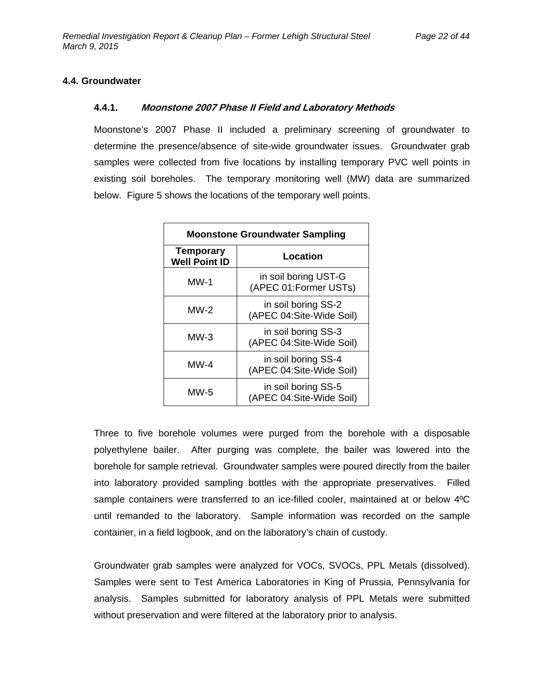#### **4.4. Groundwater**

#### **4.4.1. Moonstone 2007 Phase II Field and Laboratory Methods**

Moonstone's 2007 Phase II included a preliminary screening of groundwater to determine the presence/absence of site-wide groundwater issues. Groundwater grab samples were collected from five locations by installing temporary PVC well points in existing soil boreholes. The temporary monitoring well (MW) data are summarized below. Figure 5 shows the locations of the temporary well points.

| <b>Moonstone Groundwater Sampling</b>                     |                                                 |  |  |
|-----------------------------------------------------------|-------------------------------------------------|--|--|
| <b>Temporary</b><br>Location<br><b>Well Point ID</b>      |                                                 |  |  |
| in soil boring UST-G<br>MW-1<br>(APEC 01:Former USTs)     |                                                 |  |  |
| in soil boring SS-2<br>$MW-2$<br>(APEC 04:Site-Wide Soil) |                                                 |  |  |
| $MW-3$                                                    | in soil boring SS-3<br>(APEC 04:Site-Wide Soil) |  |  |
| in soil boring SS-4<br>MW-4<br>(APEC 04:Site-Wide Soil)   |                                                 |  |  |
| in soil boring SS-5<br>MW-5<br>(APEC 04:Site-Wide Soil)   |                                                 |  |  |

Three to five borehole volumes were purged from the borehole with a disposable polyethylene bailer. After purging was complete, the bailer was lowered into the borehole for sample retrieval. Groundwater samples were poured directly from the bailer into laboratory provided sampling bottles with the appropriate preservatives. Filled sample containers were transferred to an ice-filled cooler, maintained at or below 4°C until remanded to the laboratory. Sample information was recorded on the sample container, in a field logbook, and on the laboratory's chain of custody.

Groundwater grab samples were analyzed for VOCs, SVOCs, PPL Metals (dissolved). Samples were sent to Test America Laboratories in King of Prussia, Pennsylvania for analysis. Samples submitted for laboratory analysis of PPL Metals were submitted without preservation and were filtered at the laboratory prior to analysis.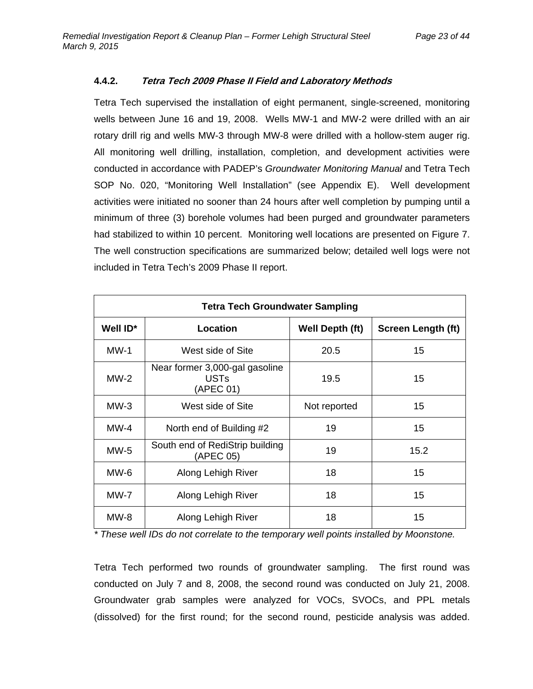#### **4.4.2. Tetra Tech 2009 Phase II Field and Laboratory Methods**

Tetra Tech supervised the installation of eight permanent, single-screened, monitoring wells between June 16 and 19, 2008. Wells MW-1 and MW-2 were drilled with an air rotary drill rig and wells MW-3 through MW-8 were drilled with a hollow-stem auger rig. All monitoring well drilling, installation, completion, and development activities were conducted in accordance with PADEP's *Groundwater Monitoring Manual* and Tetra Tech SOP No. 020, "Monitoring Well Installation" (see Appendix E). Well development activities were initiated no sooner than 24 hours after well completion by pumping until a minimum of three (3) borehole volumes had been purged and groundwater parameters had stabilized to within 10 percent. Monitoring well locations are presented on Figure 7. The well construction specifications are summarized below; detailed well logs were not included in Tetra Tech's 2009 Phase II report.

| <b>Tetra Tech Groundwater Sampling</b>                               |                   |                 |                           |  |  |  |
|----------------------------------------------------------------------|-------------------|-----------------|---------------------------|--|--|--|
| Well ID*                                                             | Location          | Well Depth (ft) | <b>Screen Length (ft)</b> |  |  |  |
| $MW-1$                                                               | West side of Site | 20.5            | 15                        |  |  |  |
| Near former 3,000-gal gasoline<br>$MW-2$<br><b>USTs</b><br>(APEC 01) |                   | 19.5            | 15                        |  |  |  |
| $MW-3$<br>West side of Site                                          |                   | Not reported    | 15                        |  |  |  |
| $MW-4$<br>North end of Building #2                                   |                   | 19              | 15                        |  |  |  |
| South end of RediStrip building<br>$MW-5$<br>(APEC 05)               |                   | 19              | 15.2                      |  |  |  |
| MW-6<br>Along Lehigh River                                           |                   | 18              | 15                        |  |  |  |
| <b>MW-7</b><br>Along Lehigh River                                    |                   | 18              | 15                        |  |  |  |
| $MW-8$<br>Along Lehigh River                                         |                   | 18              | 15                        |  |  |  |

*\* These well IDs do not correlate to the temporary well points installed by Moonstone.* 

Tetra Tech performed two rounds of groundwater sampling. The first round was conducted on July 7 and 8, 2008, the second round was conducted on July 21, 2008. Groundwater grab samples were analyzed for VOCs, SVOCs, and PPL metals (dissolved) for the first round; for the second round, pesticide analysis was added.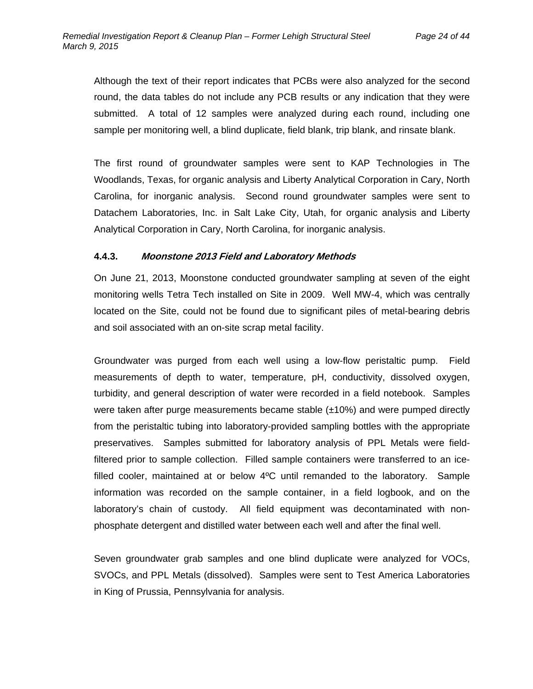Although the text of their report indicates that PCBs were also analyzed for the second round, the data tables do not include any PCB results or any indication that they were submitted. A total of 12 samples were analyzed during each round, including one sample per monitoring well, a blind duplicate, field blank, trip blank, and rinsate blank.

The first round of groundwater samples were sent to KAP Technologies in The Woodlands, Texas, for organic analysis and Liberty Analytical Corporation in Cary, North Carolina, for inorganic analysis. Second round groundwater samples were sent to Datachem Laboratories, Inc. in Salt Lake City, Utah, for organic analysis and Liberty Analytical Corporation in Cary, North Carolina, for inorganic analysis.

#### **4.4.3. Moonstone 2013 Field and Laboratory Methods**

On June 21, 2013, Moonstone conducted groundwater sampling at seven of the eight monitoring wells Tetra Tech installed on Site in 2009. Well MW-4, which was centrally located on the Site, could not be found due to significant piles of metal-bearing debris and soil associated with an on-site scrap metal facility.

Groundwater was purged from each well using a low-flow peristaltic pump. Field measurements of depth to water, temperature, pH, conductivity, dissolved oxygen, turbidity, and general description of water were recorded in a field notebook. Samples were taken after purge measurements became stable (±10%) and were pumped directly from the peristaltic tubing into laboratory-provided sampling bottles with the appropriate preservatives. Samples submitted for laboratory analysis of PPL Metals were fieldfiltered prior to sample collection. Filled sample containers were transferred to an icefilled cooler, maintained at or below 4ºC until remanded to the laboratory. Sample information was recorded on the sample container, in a field logbook, and on the laboratory's chain of custody. All field equipment was decontaminated with nonphosphate detergent and distilled water between each well and after the final well.

Seven groundwater grab samples and one blind duplicate were analyzed for VOCs, SVOCs, and PPL Metals (dissolved). Samples were sent to Test America Laboratories in King of Prussia, Pennsylvania for analysis.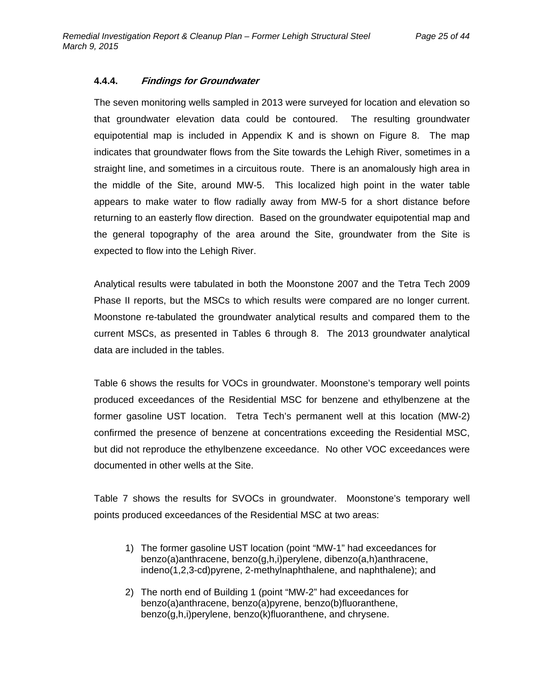#### **4.4.4. Findings for Groundwater**

The seven monitoring wells sampled in 2013 were surveyed for location and elevation so that groundwater elevation data could be contoured. The resulting groundwater equipotential map is included in Appendix K and is shown on Figure 8. The map indicates that groundwater flows from the Site towards the Lehigh River, sometimes in a straight line, and sometimes in a circuitous route. There is an anomalously high area in the middle of the Site, around MW-5. This localized high point in the water table appears to make water to flow radially away from MW-5 for a short distance before returning to an easterly flow direction. Based on the groundwater equipotential map and the general topography of the area around the Site, groundwater from the Site is expected to flow into the Lehigh River.

Analytical results were tabulated in both the Moonstone 2007 and the Tetra Tech 2009 Phase II reports, but the MSCs to which results were compared are no longer current. Moonstone re-tabulated the groundwater analytical results and compared them to the current MSCs, as presented in Tables 6 through 8. The 2013 groundwater analytical data are included in the tables.

Table 6 shows the results for VOCs in groundwater. Moonstone's temporary well points produced exceedances of the Residential MSC for benzene and ethylbenzene at the former gasoline UST location. Tetra Tech's permanent well at this location (MW-2) confirmed the presence of benzene at concentrations exceeding the Residential MSC, but did not reproduce the ethylbenzene exceedance. No other VOC exceedances were documented in other wells at the Site.

Table 7 shows the results for SVOCs in groundwater. Moonstone's temporary well points produced exceedances of the Residential MSC at two areas:

- 1) The former gasoline UST location (point "MW-1" had exceedances for benzo(a)anthracene, benzo(g,h,i)perylene, dibenzo(a,h)anthracene, indeno(1,2,3-cd)pyrene, 2-methylnaphthalene, and naphthalene); and
- 2) The north end of Building 1 (point "MW-2" had exceedances for benzo(a)anthracene, benzo(a)pyrene, benzo(b)fluoranthene, benzo(g,h,i)perylene, benzo(k)fluoranthene, and chrysene.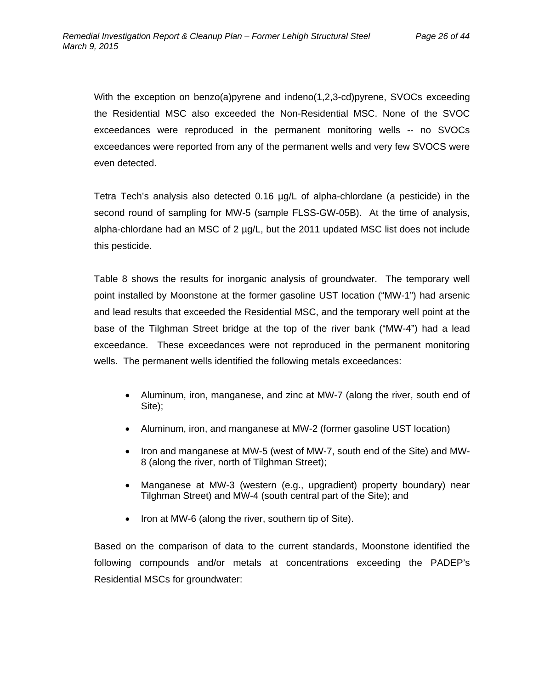With the exception on benzo(a)pyrene and indeno(1,2,3-cd)pyrene, SVOCs exceeding the Residential MSC also exceeded the Non-Residential MSC. None of the SVOC exceedances were reproduced in the permanent monitoring wells -- no SVOCs exceedances were reported from any of the permanent wells and very few SVOCS were even detected.

Tetra Tech's analysis also detected 0.16 µg/L of alpha-chlordane (a pesticide) in the second round of sampling for MW-5 (sample FLSS-GW-05B). At the time of analysis, alpha-chlordane had an MSC of 2 µg/L, but the 2011 updated MSC list does not include this pesticide.

Table 8 shows the results for inorganic analysis of groundwater. The temporary well point installed by Moonstone at the former gasoline UST location ("MW-1") had arsenic and lead results that exceeded the Residential MSC, and the temporary well point at the base of the Tilghman Street bridge at the top of the river bank ("MW-4") had a lead exceedance. These exceedances were not reproduced in the permanent monitoring wells. The permanent wells identified the following metals exceedances:

- Aluminum, iron, manganese, and zinc at MW-7 (along the river, south end of Site);
- Aluminum, iron, and manganese at MW-2 (former gasoline UST location)
- Iron and manganese at MW-5 (west of MW-7, south end of the Site) and MW-8 (along the river, north of Tilghman Street);
- Manganese at MW-3 (western (e.g., upgradient) property boundary) near Tilghman Street) and MW-4 (south central part of the Site); and
- $\bullet$  Iron at MW-6 (along the river, southern tip of Site).

Based on the comparison of data to the current standards, Moonstone identified the following compounds and/or metals at concentrations exceeding the PADEP's Residential MSCs for groundwater: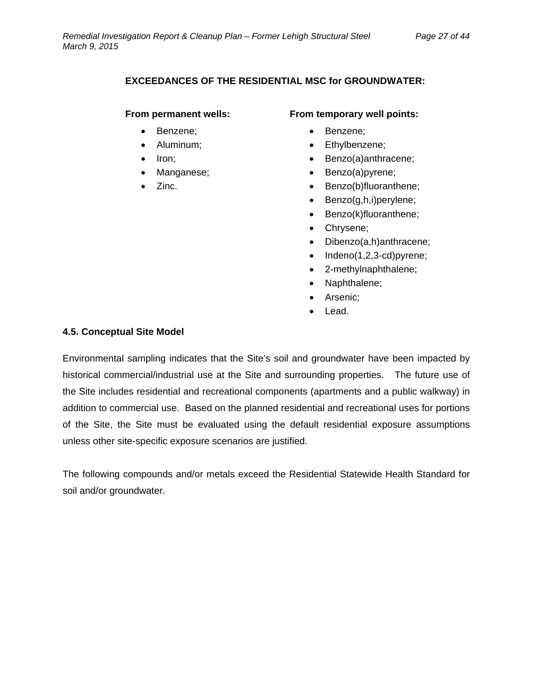#### **EXCEEDANCES OF THE RESIDENTIAL MSC for GROUNDWATER:**

#### **From permanent wells:**

- Benzene;
- Aluminum:
- Iron;
- Manganese;
- Zinc.

#### **From temporary well points:**

- Benzene;
- Ethylbenzene;
- Benzo(a)anthracene;
- Benzo(a)pyrene;
- Benzo(b)fluoranthene;
- Benzo(g,h,i)perylene;
- Benzo(k)fluoranthene;
- Chrysene;
- Dibenzo(a,h)anthracene;
- $\bullet$  Indeno(1,2,3-cd)pyrene;
- 2-methylnaphthalene;
- Naphthalene;
- Arsenic;
- Lead.

#### **4.5. Conceptual Site Model**

Environmental sampling indicates that the Site's soil and groundwater have been impacted by historical commercial/industrial use at the Site and surrounding properties. The future use of the Site includes residential and recreational components (apartments and a public walkway) in addition to commercial use. Based on the planned residential and recreational uses for portions of the Site, the Site must be evaluated using the default residential exposure assumptions unless other site-specific exposure scenarios are justified.

The following compounds and/or metals exceed the Residential Statewide Health Standard for soil and/or groundwater.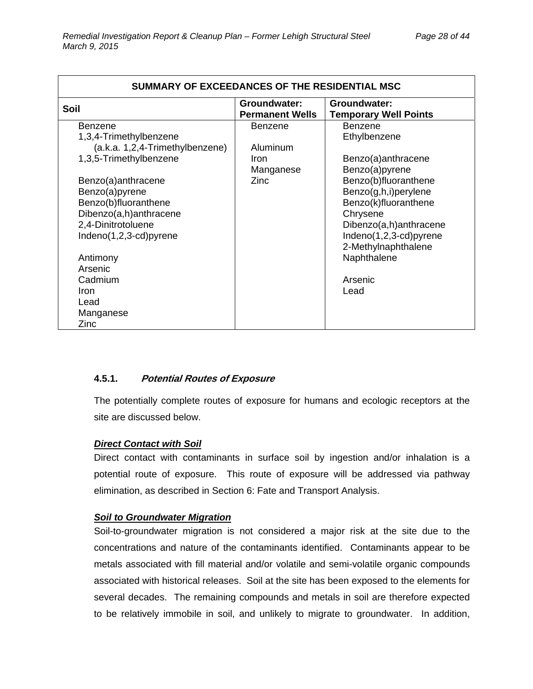| SUMMARY OF EXCEEDANCES OF THE RESIDENTIAL MSC                                                                                                                                                                                                                                                                   |                                                         |                                                                                                                                                                                                                                                                         |  |  |
|-----------------------------------------------------------------------------------------------------------------------------------------------------------------------------------------------------------------------------------------------------------------------------------------------------------------|---------------------------------------------------------|-------------------------------------------------------------------------------------------------------------------------------------------------------------------------------------------------------------------------------------------------------------------------|--|--|
| Soil                                                                                                                                                                                                                                                                                                            | Groundwater:<br><b>Permanent Wells</b>                  | Groundwater:<br><b>Temporary Well Points</b>                                                                                                                                                                                                                            |  |  |
| Benzene<br>1,3,4-Trimethylbenzene<br>(a.k.a. 1,2,4-Trimethylbenzene)<br>1,3,5-Trimethylbenzene<br>Benzo(a)anthracene<br>Benzo(a)pyrene<br>Benzo(b)fluoranthene<br>Dibenzo(a,h)anthracene<br>2,4-Dinitrotoluene<br>Indeno(1,2,3-cd)pyrene<br>Antimony<br>Arsenic<br>Cadmium<br>Iron<br>Lead<br>Manganese<br>Zinc | <b>Benzene</b><br>Aluminum<br>Iron<br>Manganese<br>Zinc | <b>Benzene</b><br>Ethylbenzene<br>Benzo(a)anthracene<br>Benzo(a)pyrene<br>Benzo(b)fluoranthene<br>Benzo(g,h,i)perylene<br>Benzo(k)fluoranthene<br>Chrysene<br>Dibenzo(a,h)anthracene<br>Indeno(1,2,3-cd)pyrene<br>2-Methylnaphthalene<br>Naphthalene<br>Arsenic<br>Lead |  |  |

#### **4.5.1. Potential Routes of Exposure**

The potentially complete routes of exposure for humans and ecologic receptors at the site are discussed below.

#### *Direct Contact with Soil*

Direct contact with contaminants in surface soil by ingestion and/or inhalation is a potential route of exposure. This route of exposure will be addressed via pathway elimination, as described in Section 6: Fate and Transport Analysis.

#### *Soil to Groundwater Migration*

Soil-to-groundwater migration is not considered a major risk at the site due to the concentrations and nature of the contaminants identified. Contaminants appear to be metals associated with fill material and/or volatile and semi-volatile organic compounds associated with historical releases. Soil at the site has been exposed to the elements for several decades. The remaining compounds and metals in soil are therefore expected to be relatively immobile in soil, and unlikely to migrate to groundwater. In addition,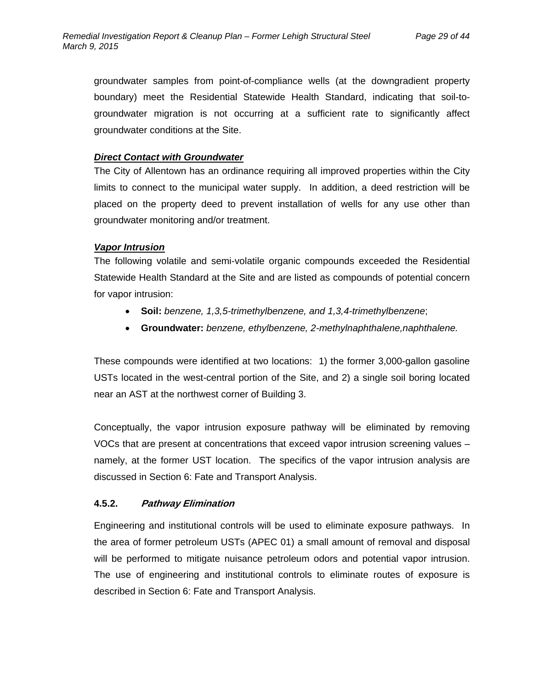groundwater samples from point-of-compliance wells (at the downgradient property boundary) meet the Residential Statewide Health Standard, indicating that soil-togroundwater migration is not occurring at a sufficient rate to significantly affect groundwater conditions at the Site.

#### *Direct Contact with Groundwater*

The City of Allentown has an ordinance requiring all improved properties within the City limits to connect to the municipal water supply. In addition, a deed restriction will be placed on the property deed to prevent installation of wells for any use other than groundwater monitoring and/or treatment.

#### *Vapor Intrusion*

The following volatile and semi-volatile organic compounds exceeded the Residential Statewide Health Standard at the Site and are listed as compounds of potential concern for vapor intrusion:

- **Soil:** *benzene, 1,3,5-trimethylbenzene, and 1,3,4-trimethylbenzene*;
- **Groundwater:** *benzene, ethylbenzene, 2-methylnaphthalene,naphthalene.*

These compounds were identified at two locations: 1) the former 3,000-gallon gasoline USTs located in the west-central portion of the Site, and 2) a single soil boring located near an AST at the northwest corner of Building 3.

Conceptually, the vapor intrusion exposure pathway will be eliminated by removing VOCs that are present at concentrations that exceed vapor intrusion screening values – namely, at the former UST location. The specifics of the vapor intrusion analysis are discussed in Section 6: Fate and Transport Analysis.

#### **4.5.2. Pathway Elimination**

Engineering and institutional controls will be used to eliminate exposure pathways. In the area of former petroleum USTs (APEC 01) a small amount of removal and disposal will be performed to mitigate nuisance petroleum odors and potential vapor intrusion. The use of engineering and institutional controls to eliminate routes of exposure is described in Section 6: Fate and Transport Analysis.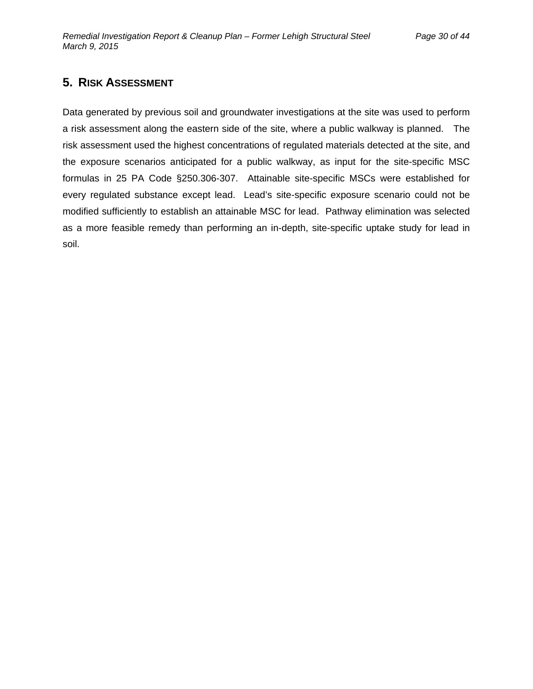### **5. RISK ASSESSMENT**

Data generated by previous soil and groundwater investigations at the site was used to perform a risk assessment along the eastern side of the site, where a public walkway is planned. The risk assessment used the highest concentrations of regulated materials detected at the site, and the exposure scenarios anticipated for a public walkway, as input for the site-specific MSC formulas in 25 PA Code §250.306-307. Attainable site-specific MSCs were established for every regulated substance except lead. Lead's site-specific exposure scenario could not be modified sufficiently to establish an attainable MSC for lead. Pathway elimination was selected as a more feasible remedy than performing an in-depth, site-specific uptake study for lead in soil.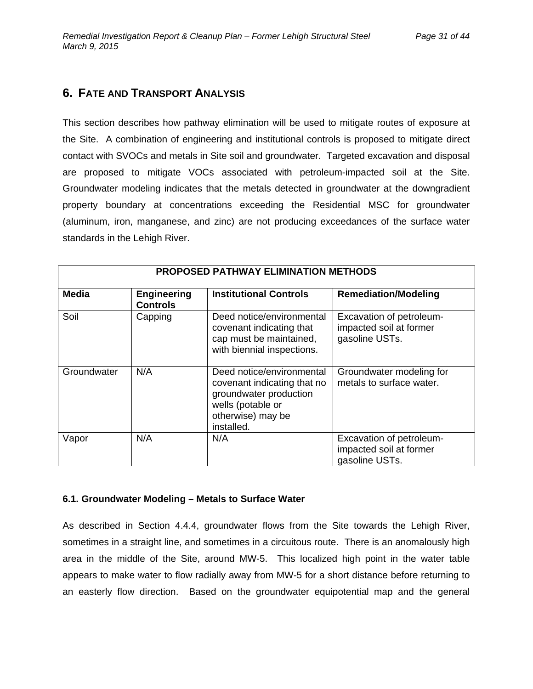### **6. FATE AND TRANSPORT ANALYSIS**

This section describes how pathway elimination will be used to mitigate routes of exposure at the Site. A combination of engineering and institutional controls is proposed to mitigate direct contact with SVOCs and metals in Site soil and groundwater. Targeted excavation and disposal are proposed to mitigate VOCs associated with petroleum-impacted soil at the Site. Groundwater modeling indicates that the metals detected in groundwater at the downgradient property boundary at concentrations exceeding the Residential MSC for groundwater (aluminum, iron, manganese, and zinc) are not producing exceedances of the surface water standards in the Lehigh River.

| <b>PROPOSED PATHWAY ELIMINATION METHODS</b> |                                       |                                                                                                                                            |                                                                       |  |  |
|---------------------------------------------|---------------------------------------|--------------------------------------------------------------------------------------------------------------------------------------------|-----------------------------------------------------------------------|--|--|
| Media                                       | <b>Engineering</b><br><b>Controls</b> | <b>Institutional Controls</b>                                                                                                              | <b>Remediation/Modeling</b>                                           |  |  |
| Soil                                        | Capping                               | Deed notice/environmental<br>covenant indicating that<br>cap must be maintained,<br>with biennial inspections.                             | Excavation of petroleum-<br>impacted soil at former<br>gasoline USTs. |  |  |
| Groundwater                                 | N/A                                   | Deed notice/environmental<br>covenant indicating that no<br>groundwater production<br>wells (potable or<br>otherwise) may be<br>installed. | Groundwater modeling for<br>metals to surface water.                  |  |  |
| Vapor                                       | N/A                                   | N/A                                                                                                                                        | Excavation of petroleum-<br>impacted soil at former<br>gasoline USTs. |  |  |

#### **6.1. Groundwater Modeling – Metals to Surface Water**

As described in Section 4.4.4, groundwater flows from the Site towards the Lehigh River, sometimes in a straight line, and sometimes in a circuitous route. There is an anomalously high area in the middle of the Site, around MW-5. This localized high point in the water table appears to make water to flow radially away from MW-5 for a short distance before returning to an easterly flow direction. Based on the groundwater equipotential map and the general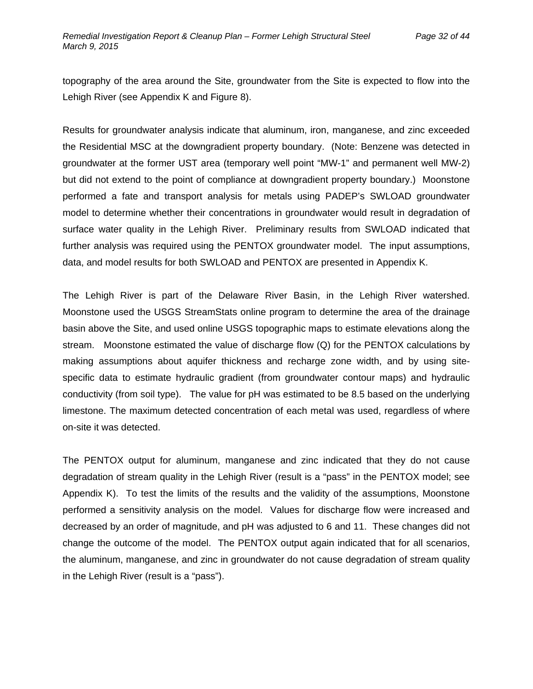topography of the area around the Site, groundwater from the Site is expected to flow into the Lehigh River (see Appendix K and Figure 8).

Results for groundwater analysis indicate that aluminum, iron, manganese, and zinc exceeded the Residential MSC at the downgradient property boundary. (Note: Benzene was detected in groundwater at the former UST area (temporary well point "MW-1" and permanent well MW-2) but did not extend to the point of compliance at downgradient property boundary.) Moonstone performed a fate and transport analysis for metals using PADEP's SWLOAD groundwater model to determine whether their concentrations in groundwater would result in degradation of surface water quality in the Lehigh River. Preliminary results from SWLOAD indicated that further analysis was required using the PENTOX groundwater model. The input assumptions, data, and model results for both SWLOAD and PENTOX are presented in Appendix K.

The Lehigh River is part of the Delaware River Basin, in the Lehigh River watershed. Moonstone used the USGS StreamStats online program to determine the area of the drainage basin above the Site, and used online USGS topographic maps to estimate elevations along the stream. Moonstone estimated the value of discharge flow (Q) for the PENTOX calculations by making assumptions about aquifer thickness and recharge zone width, and by using sitespecific data to estimate hydraulic gradient (from groundwater contour maps) and hydraulic conductivity (from soil type). The value for pH was estimated to be 8.5 based on the underlying limestone. The maximum detected concentration of each metal was used, regardless of where on-site it was detected.

The PENTOX output for aluminum, manganese and zinc indicated that they do not cause degradation of stream quality in the Lehigh River (result is a "pass" in the PENTOX model; see Appendix K). To test the limits of the results and the validity of the assumptions, Moonstone performed a sensitivity analysis on the model. Values for discharge flow were increased and decreased by an order of magnitude, and pH was adjusted to 6 and 11. These changes did not change the outcome of the model. The PENTOX output again indicated that for all scenarios, the aluminum, manganese, and zinc in groundwater do not cause degradation of stream quality in the Lehigh River (result is a "pass").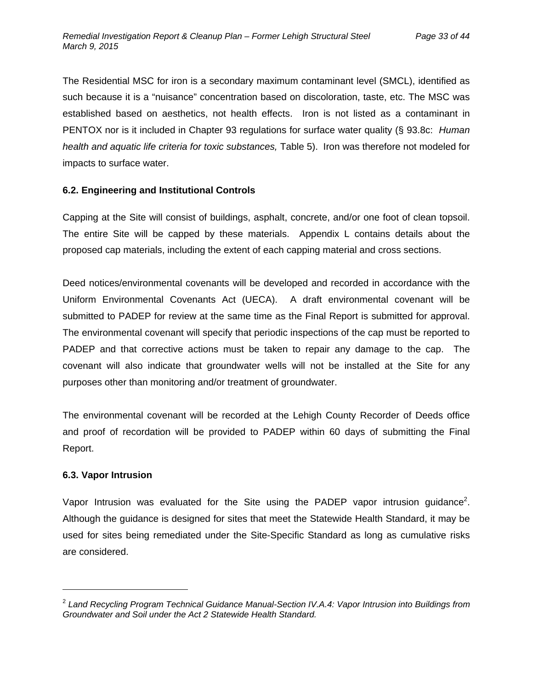The Residential MSC for iron is a secondary maximum contaminant level (SMCL), identified as such because it is a "nuisance" concentration based on discoloration, taste, etc. The MSC was established based on aesthetics, not health effects. Iron is not listed as a contaminant in PENTOX nor is it included in Chapter 93 regulations for surface water quality (§ 93.8c: *Human health and aquatic life criteria for toxic substances,* Table 5). Iron was therefore not modeled for impacts to surface water.

#### **6.2. Engineering and Institutional Controls**

Capping at the Site will consist of buildings, asphalt, concrete, and/or one foot of clean topsoil. The entire Site will be capped by these materials. Appendix L contains details about the proposed cap materials, including the extent of each capping material and cross sections.

Deed notices/environmental covenants will be developed and recorded in accordance with the Uniform Environmental Covenants Act (UECA). A draft environmental covenant will be submitted to PADEP for review at the same time as the Final Report is submitted for approval. The environmental covenant will specify that periodic inspections of the cap must be reported to PADEP and that corrective actions must be taken to repair any damage to the cap. The covenant will also indicate that groundwater wells will not be installed at the Site for any purposes other than monitoring and/or treatment of groundwater.

The environmental covenant will be recorded at the Lehigh County Recorder of Deeds office and proof of recordation will be provided to PADEP within 60 days of submitting the Final Report.

### **6.3. Vapor Intrusion**

Vapor Intrusion was evaluated for the Site using the PADEP vapor intrusion guidance<sup>2</sup>. Although the guidance is designed for sites that meet the Statewide Health Standard, it may be used for sites being remediated under the Site-Specific Standard as long as cumulative risks are considered.

<sup>2</sup> *Land Recycling Program Technical Guidance Manual-Section IV.A.4: Vapor Intrusion into Buildings from Groundwater and Soil under the Act 2 Statewide Health Standard.*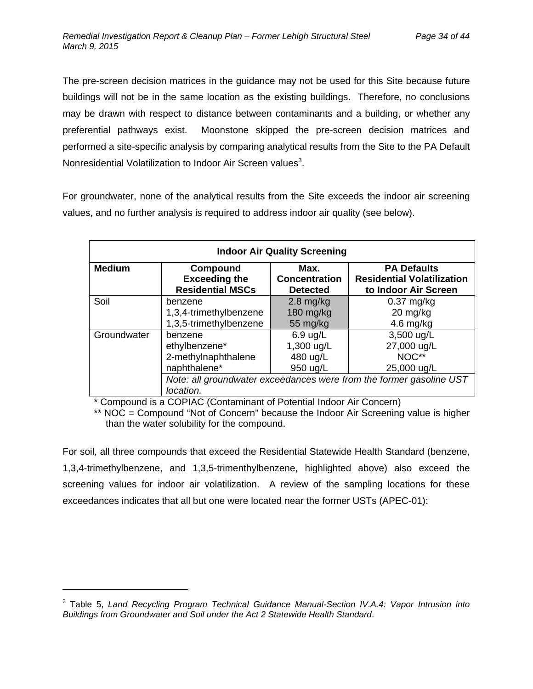The pre-screen decision matrices in the guidance may not be used for this Site because future buildings will not be in the same location as the existing buildings. Therefore, no conclusions may be drawn with respect to distance between contaminants and a building, or whether any preferential pathways exist. Moonstone skipped the pre-screen decision matrices and performed a site-specific analysis by comparing analytical results from the Site to the PA Default Nonresidential Volatilization to Indoor Air Screen values<sup>3</sup>.

For groundwater, none of the analytical results from the Site exceeds the indoor air screening values, and no further analysis is required to address indoor air quality (see below).

| <b>Indoor Air Quality Screening</b> |                                                                                  |                      |                                   |  |  |
|-------------------------------------|----------------------------------------------------------------------------------|----------------------|-----------------------------------|--|--|
| <b>Medium</b>                       | Compound                                                                         | Max.                 | <b>PA Defaults</b>                |  |  |
|                                     | <b>Exceeding the</b>                                                             | <b>Concentration</b> | <b>Residential Volatilization</b> |  |  |
|                                     | <b>Residential MSCs</b>                                                          | <b>Detected</b>      | to Indoor Air Screen              |  |  |
| Soil                                | benzene                                                                          | $2.8$ mg/kg          | $0.37$ mg/kg                      |  |  |
|                                     | 1,3,4-trimethylbenzene                                                           | 180 mg/kg            | 20 mg/kg                          |  |  |
|                                     | 1,3,5-trimethylbenzene                                                           | 55 mg/kg             | 4.6 mg/kg                         |  |  |
| Groundwater                         | benzene                                                                          | $6.9$ ug/L           | 3,500 ug/L                        |  |  |
|                                     | ethylbenzene*                                                                    | 1,300 ug/L           | 27,000 ug/L                       |  |  |
|                                     | 2-methylnaphthalene                                                              | 480 ug/L             | NOC**                             |  |  |
|                                     | naphthalene*                                                                     | 950 ug/L             | 25,000 ug/L                       |  |  |
|                                     | Note: all groundwater exceedances were from the former gasoline UST<br>location. |                      |                                   |  |  |

\* Compound is a COPIAC (Contaminant of Potential Indoor Air Concern)

\*\* NOC = Compound "Not of Concern" because the Indoor Air Screening value is higher than the water solubility for the compound.

For soil, all three compounds that exceed the Residential Statewide Health Standard (benzene, 1,3,4-trimethylbenzene, and 1,3,5-trimenthylbenzene, highlighted above) also exceed the screening values for indoor air volatilization. A review of the sampling locations for these exceedances indicates that all but one were located near the former USTs (APEC-01):

-

<sup>&</sup>lt;sup>3</sup> Table 5, Land Recycling Program Technical Guidance Manual-Section IV.A.4: Vapor Intrusion into *Buildings from Groundwater and Soil under the Act 2 Statewide Health Standard*.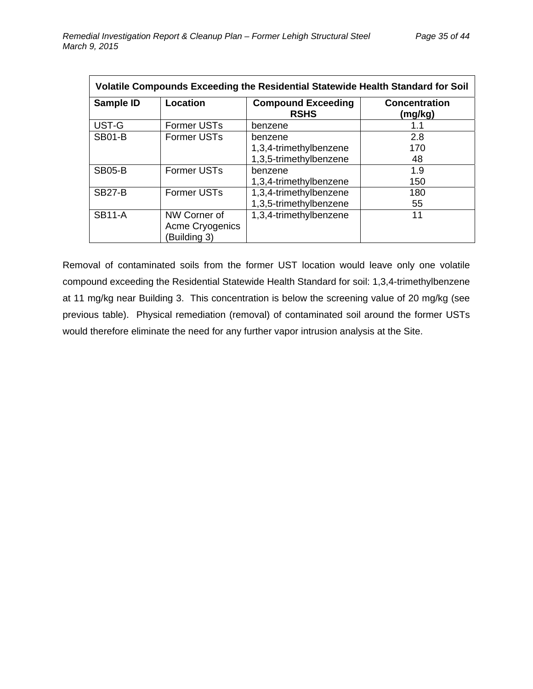| Volatile Compounds Exceeding the Residential Statewide Health Standard for Soil |                                                 |                                          |                                 |  |
|---------------------------------------------------------------------------------|-------------------------------------------------|------------------------------------------|---------------------------------|--|
| Sample ID                                                                       | Location                                        | <b>Compound Exceeding</b><br><b>RSHS</b> | <b>Concentration</b><br>(mg/kg) |  |
| UST-G                                                                           | <b>Former USTs</b>                              | benzene                                  | 1.1                             |  |
| <b>SB01-B</b>                                                                   | <b>Former USTs</b>                              | benzene                                  | 2.8                             |  |
|                                                                                 |                                                 | 1,3,4-trimethylbenzene                   | 170                             |  |
|                                                                                 |                                                 | 1,3,5-trimethylbenzene                   | 48                              |  |
| <b>SB05-B</b>                                                                   | <b>Former USTs</b>                              | benzene                                  | 1.9                             |  |
|                                                                                 |                                                 | 1,3,4-trimethylbenzene                   | 150                             |  |
| <b>SB27-B</b>                                                                   | <b>Former USTs</b>                              | 1,3,4-trimethylbenzene                   | 180                             |  |
|                                                                                 |                                                 | 1,3,5-trimethylbenzene                   | 55                              |  |
| <b>SB11-A</b>                                                                   | NW Corner of<br>Acme Cryogenics<br>(Building 3) | 1,3,4-trimethylbenzene                   | 11                              |  |

Removal of contaminated soils from the former UST location would leave only one volatile compound exceeding the Residential Statewide Health Standard for soil: 1,3,4-trimethylbenzene at 11 mg/kg near Building 3. This concentration is below the screening value of 20 mg/kg (see previous table). Physical remediation (removal) of contaminated soil around the former USTs would therefore eliminate the need for any further vapor intrusion analysis at the Site.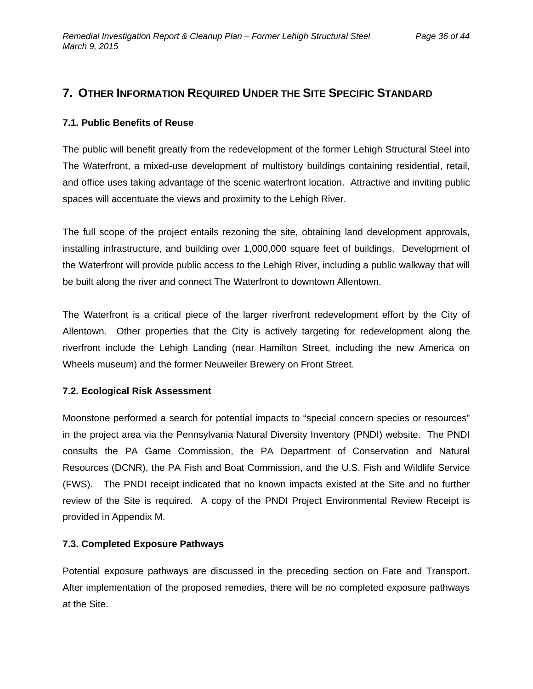### **7. OTHER INFORMATION REQUIRED UNDER THE SITE SPECIFIC STANDARD**

#### **7.1. Public Benefits of Reuse**

The public will benefit greatly from the redevelopment of the former Lehigh Structural Steel into The Waterfront, a mixed-use development of multistory buildings containing residential, retail, and office uses taking advantage of the scenic waterfront location. Attractive and inviting public spaces will accentuate the views and proximity to the Lehigh River.

The full scope of the project entails rezoning the site, obtaining land development approvals, installing infrastructure, and building over 1,000,000 square feet of buildings. Development of the Waterfront will provide public access to the Lehigh River, including a public walkway that will be built along the river and connect The Waterfront to downtown Allentown.

The Waterfront is a critical piece of the larger riverfront redevelopment effort by the City of Allentown. Other properties that the City is actively targeting for redevelopment along the riverfront include the Lehigh Landing (near Hamilton Street, including the new America on Wheels museum) and the former Neuweiler Brewery on Front Street.

#### **7.2. Ecological Risk Assessment**

Moonstone performed a search for potential impacts to "special concern species or resources" in the project area via the Pennsylvania Natural Diversity Inventory (PNDI) website. The PNDI consults the PA Game Commission, the PA Department of Conservation and Natural Resources (DCNR), the PA Fish and Boat Commission, and the U.S. Fish and Wildlife Service (FWS). The PNDI receipt indicated that no known impacts existed at the Site and no further review of the Site is required. A copy of the PNDI Project Environmental Review Receipt is provided in Appendix M.

#### **7.3. Completed Exposure Pathways**

Potential exposure pathways are discussed in the preceding section on Fate and Transport. After implementation of the proposed remedies, there will be no completed exposure pathways at the Site.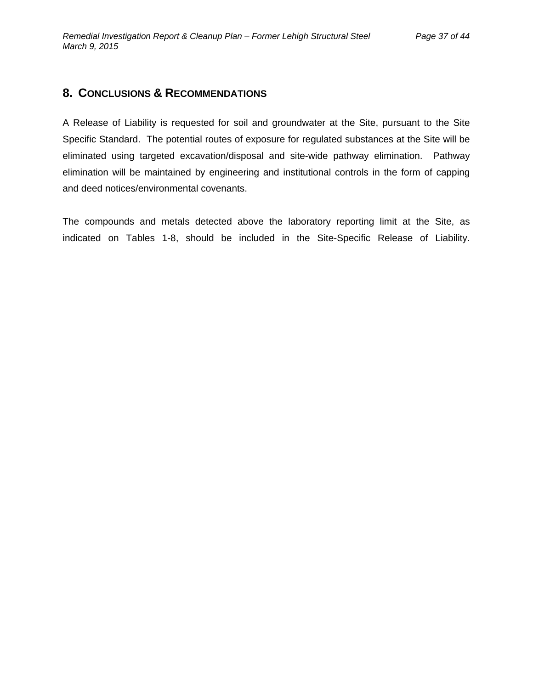### **8. CONCLUSIONS & RECOMMENDATIONS**

A Release of Liability is requested for soil and groundwater at the Site, pursuant to the Site Specific Standard. The potential routes of exposure for regulated substances at the Site will be eliminated using targeted excavation/disposal and site-wide pathway elimination. Pathway elimination will be maintained by engineering and institutional controls in the form of capping and deed notices/environmental covenants.

The compounds and metals detected above the laboratory reporting limit at the Site, as indicated on Tables 1-8, should be included in the Site-Specific Release of Liability.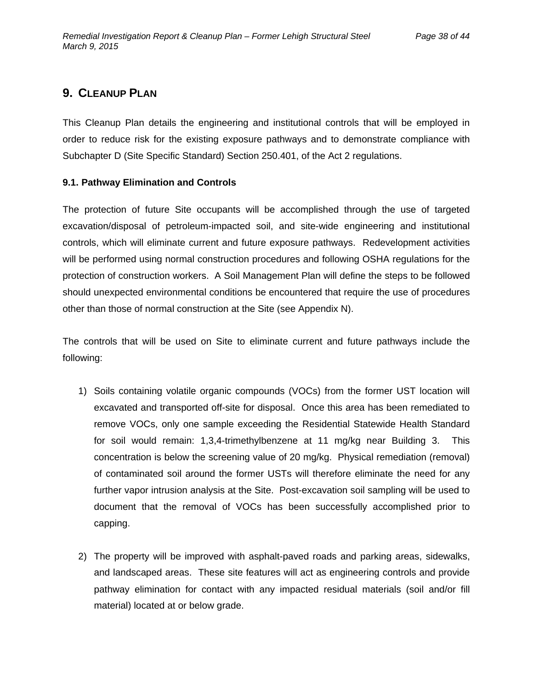### **9. CLEANUP PLAN**

This Cleanup Plan details the engineering and institutional controls that will be employed in order to reduce risk for the existing exposure pathways and to demonstrate compliance with Subchapter D (Site Specific Standard) Section 250.401, of the Act 2 regulations.

#### **9.1. Pathway Elimination and Controls**

The protection of future Site occupants will be accomplished through the use of targeted excavation/disposal of petroleum-impacted soil, and site-wide engineering and institutional controls, which will eliminate current and future exposure pathways. Redevelopment activities will be performed using normal construction procedures and following OSHA regulations for the protection of construction workers. A Soil Management Plan will define the steps to be followed should unexpected environmental conditions be encountered that require the use of procedures other than those of normal construction at the Site (see Appendix N).

The controls that will be used on Site to eliminate current and future pathways include the following:

- 1) Soils containing volatile organic compounds (VOCs) from the former UST location will excavated and transported off-site for disposal. Once this area has been remediated to remove VOCs, only one sample exceeding the Residential Statewide Health Standard for soil would remain: 1,3,4-trimethylbenzene at 11 mg/kg near Building 3. This concentration is below the screening value of 20 mg/kg. Physical remediation (removal) of contaminated soil around the former USTs will therefore eliminate the need for any further vapor intrusion analysis at the Site. Post-excavation soil sampling will be used to document that the removal of VOCs has been successfully accomplished prior to capping.
- 2) The property will be improved with asphalt-paved roads and parking areas, sidewalks, and landscaped areas. These site features will act as engineering controls and provide pathway elimination for contact with any impacted residual materials (soil and/or fill material) located at or below grade.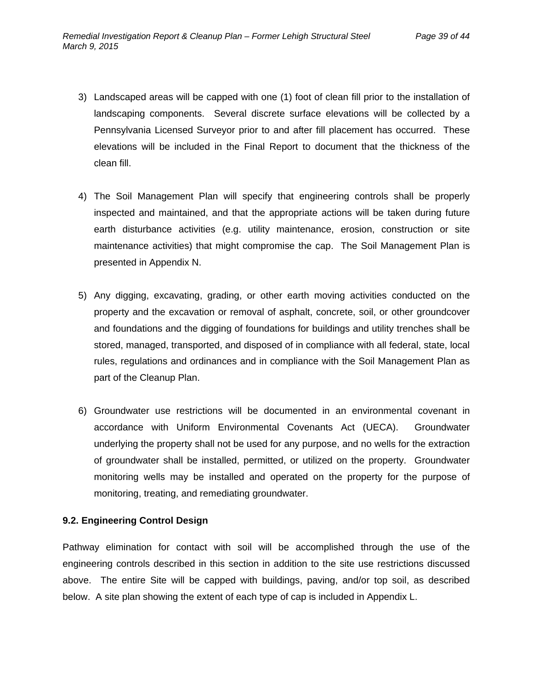- 3) Landscaped areas will be capped with one (1) foot of clean fill prior to the installation of landscaping components. Several discrete surface elevations will be collected by a Pennsylvania Licensed Surveyor prior to and after fill placement has occurred. These elevations will be included in the Final Report to document that the thickness of the clean fill.
- 4) The Soil Management Plan will specify that engineering controls shall be properly inspected and maintained, and that the appropriate actions will be taken during future earth disturbance activities (e.g. utility maintenance, erosion, construction or site maintenance activities) that might compromise the cap. The Soil Management Plan is presented in Appendix N.
- 5) Any digging, excavating, grading, or other earth moving activities conducted on the property and the excavation or removal of asphalt, concrete, soil, or other groundcover and foundations and the digging of foundations for buildings and utility trenches shall be stored, managed, transported, and disposed of in compliance with all federal, state, local rules, regulations and ordinances and in compliance with the Soil Management Plan as part of the Cleanup Plan.
- 6) Groundwater use restrictions will be documented in an environmental covenant in accordance with Uniform Environmental Covenants Act (UECA). Groundwater underlying the property shall not be used for any purpose, and no wells for the extraction of groundwater shall be installed, permitted, or utilized on the property. Groundwater monitoring wells may be installed and operated on the property for the purpose of monitoring, treating, and remediating groundwater.

#### **9.2. Engineering Control Design**

Pathway elimination for contact with soil will be accomplished through the use of the engineering controls described in this section in addition to the site use restrictions discussed above. The entire Site will be capped with buildings, paving, and/or top soil, as described below. A site plan showing the extent of each type of cap is included in Appendix L.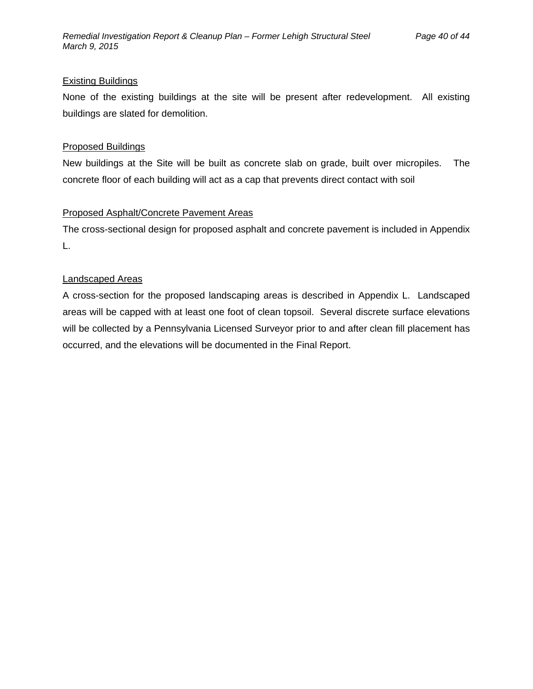#### Existing Buildings

None of the existing buildings at the site will be present after redevelopment. All existing buildings are slated for demolition.

#### Proposed Buildings

New buildings at the Site will be built as concrete slab on grade, built over micropiles. The concrete floor of each building will act as a cap that prevents direct contact with soil

#### Proposed Asphalt/Concrete Pavement Areas

The cross-sectional design for proposed asphalt and concrete pavement is included in Appendix L.

#### Landscaped Areas

A cross-section for the proposed landscaping areas is described in Appendix L. Landscaped areas will be capped with at least one foot of clean topsoil. Several discrete surface elevations will be collected by a Pennsylvania Licensed Surveyor prior to and after clean fill placement has occurred, and the elevations will be documented in the Final Report.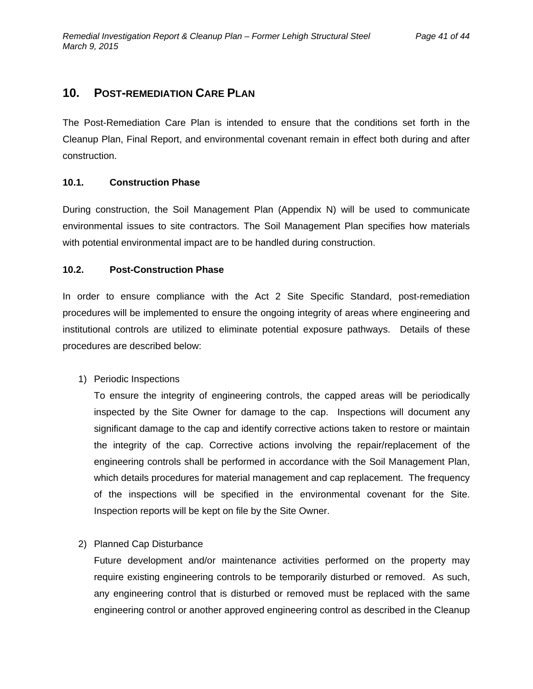### **10. POST-REMEDIATION CARE PLAN**

The Post-Remediation Care Plan is intended to ensure that the conditions set forth in the Cleanup Plan, Final Report, and environmental covenant remain in effect both during and after construction.

#### **10.1. Construction Phase**

During construction, the Soil Management Plan (Appendix N) will be used to communicate environmental issues to site contractors. The Soil Management Plan specifies how materials with potential environmental impact are to be handled during construction.

#### **10.2. Post-Construction Phase**

In order to ensure compliance with the Act 2 Site Specific Standard, post-remediation procedures will be implemented to ensure the ongoing integrity of areas where engineering and institutional controls are utilized to eliminate potential exposure pathways. Details of these procedures are described below:

1) Periodic Inspections

To ensure the integrity of engineering controls, the capped areas will be periodically inspected by the Site Owner for damage to the cap. Inspections will document any significant damage to the cap and identify corrective actions taken to restore or maintain the integrity of the cap. Corrective actions involving the repair/replacement of the engineering controls shall be performed in accordance with the Soil Management Plan, which details procedures for material management and cap replacement. The frequency of the inspections will be specified in the environmental covenant for the Site. Inspection reports will be kept on file by the Site Owner.

#### 2) Planned Cap Disturbance

Future development and/or maintenance activities performed on the property may require existing engineering controls to be temporarily disturbed or removed. As such, any engineering control that is disturbed or removed must be replaced with the same engineering control or another approved engineering control as described in the Cleanup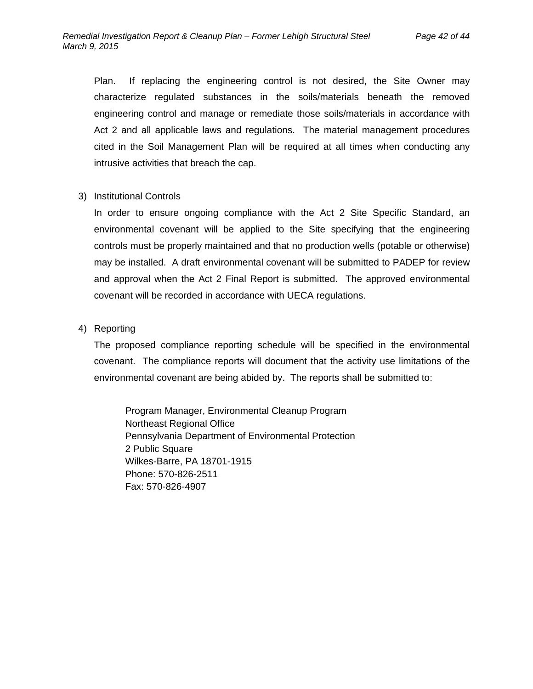Plan. If replacing the engineering control is not desired, the Site Owner may characterize regulated substances in the soils/materials beneath the removed engineering control and manage or remediate those soils/materials in accordance with Act 2 and all applicable laws and regulations. The material management procedures cited in the Soil Management Plan will be required at all times when conducting any intrusive activities that breach the cap.

#### 3) Institutional Controls

In order to ensure ongoing compliance with the Act 2 Site Specific Standard, an environmental covenant will be applied to the Site specifying that the engineering controls must be properly maintained and that no production wells (potable or otherwise) may be installed. A draft environmental covenant will be submitted to PADEP for review and approval when the Act 2 Final Report is submitted. The approved environmental covenant will be recorded in accordance with UECA regulations.

#### 4) Reporting

The proposed compliance reporting schedule will be specified in the environmental covenant. The compliance reports will document that the activity use limitations of the environmental covenant are being abided by. The reports shall be submitted to:

Program Manager, Environmental Cleanup Program Northeast Regional Office Pennsylvania Department of Environmental Protection 2 Public Square Wilkes-Barre, PA 18701-1915 Phone: 570-826-2511 Fax: 570-826-4907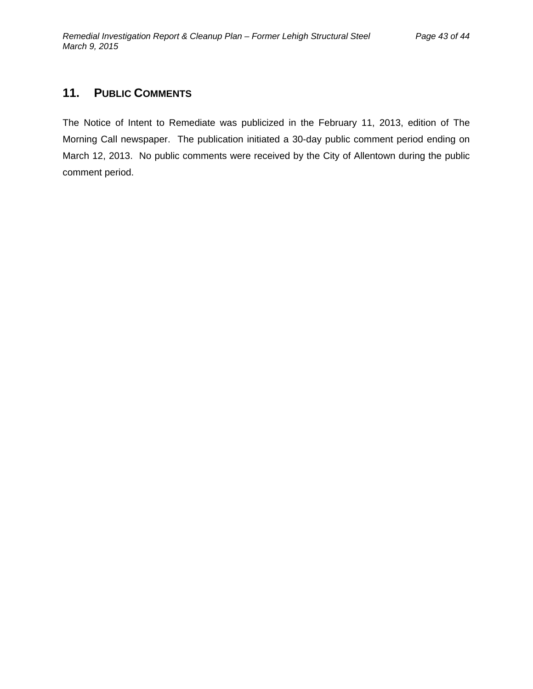### **11. PUBLIC COMMENTS**

The Notice of Intent to Remediate was publicized in the February 11, 2013, edition of The Morning Call newspaper. The publication initiated a 30-day public comment period ending on March 12, 2013. No public comments were received by the City of Allentown during the public comment period.